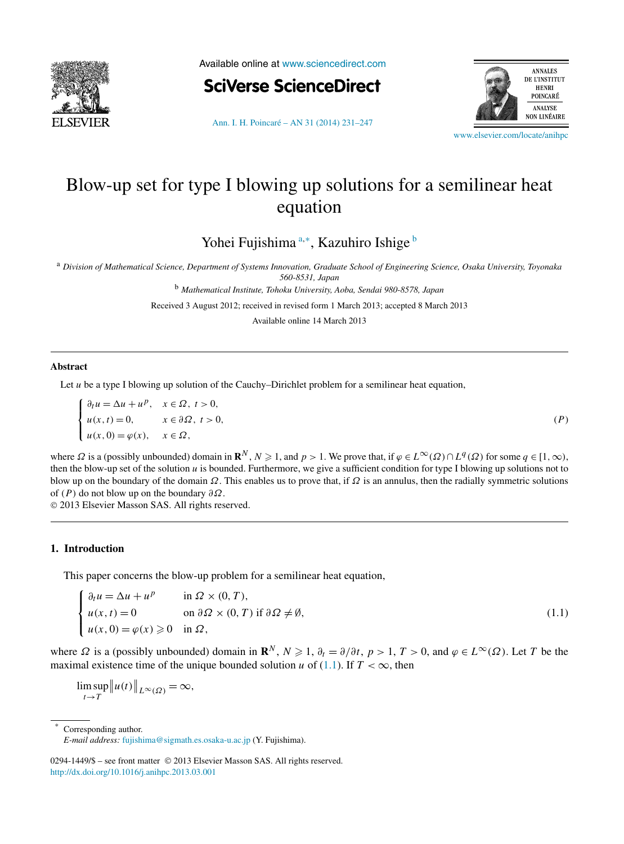<span id="page-0-0"></span>

Available online at [www.sciencedirect.com](http://www.sciencedirect.com)





[Ann. I. H. Poincaré – AN 31 \(2014\) 231–247](http://dx.doi.org/10.1016/j.anihpc.2013.03.001)

[www.elsevier.com/locate/anihpc](http://www.elsevier.com/locate/anihpc)

# Blow-up set for type I blowing up solutions for a semilinear heat equation

Yohei Fujishima<sup>a,∗</sup>, Kazuhiro Ishige <sup>b</sup>

<sup>a</sup> *Division of Mathematical Science, Department of Systems Innovation, Graduate School of Engineering Science, Osaka University, Toyonaka 560-8531, Japan*

<sup>b</sup> *Mathematical Institute, Tohoku University, Aoba, Sendai 980-8578, Japan*

Received 3 August 2012; received in revised form 1 March 2013; accepted 8 March 2013

Available online 14 March 2013

#### **Abstract**

Let *u* be a type I blowing up solution of the Cauchy–Dirichlet problem for a semilinear heat equation,

$$
\begin{cases} \n\partial_t u = \Delta u + u^p, & x \in \Omega, \ t > 0, \\ \nu(x, t) = 0, & x \in \partial\Omega, \ t > 0, \\ \nu(x, 0) = \varphi(x), & x \in \Omega, \n\end{cases} \tag{P}
$$

where  $\Omega$  is a (possibly unbounded) domain in  $\mathbb{R}^N$ ,  $N \ge 1$ , and  $p > 1$ . We prove that, if  $\varphi \in L^\infty(\Omega) \cap L^q(\Omega)$  for some  $q \in [1, \infty)$ , then the blow-up set of the solution *u* is bounded. Furthermore, we give a sufficient condition for type I blowing up solutions not to blow up on the boundary of the domain *Ω*. This enables us to prove that, if *Ω* is an annulus, then the radially symmetric solutions of *(P)* do not blow up on the boundary *∂Ω*.

© 2013 Elsevier Masson SAS. All rights reserved.

#### **1. Introduction**

This paper concerns the blow-up problem for a semilinear heat equation,

$$
\begin{cases} \n\partial_t u = \Delta u + u^p & \text{in } \Omega \times (0, T), \\ \nu(x, t) = 0 & \text{on } \partial \Omega \times (0, T) \text{ if } \partial \Omega \neq \emptyset, \\ \nu(x, 0) = \varphi(x) \geq 0 & \text{in } \Omega, \n\end{cases} \tag{1.1}
$$

where  $\Omega$  is a (possibly unbounded) domain in  $\mathbb{R}^N$ ,  $N \geq 1$ ,  $\partial_t = \partial/\partial t$ ,  $p > 1$ ,  $T > 0$ , and  $\varphi \in L^{\infty}(\Omega)$ . Let *T* be the maximal existence time of the unique bounded solution *u* of (1.1). If  $T < \infty$ , then

lim sup  $t \rightarrow T$  $\|u(t)\|_{L^{\infty}(\Omega)} = \infty$ ,

Corresponding author.

*E-mail address:* [fujishima@sigmath.es.osaka-u.ac.jp](mailto:fujishima@sigmath.es.osaka-u.ac.jp) (Y. Fujishima).

<sup>0294-1449/\$ –</sup> see front matter © 2013 Elsevier Masson SAS. All rights reserved. <http://dx.doi.org/10.1016/j.anihpc.2013.03.001>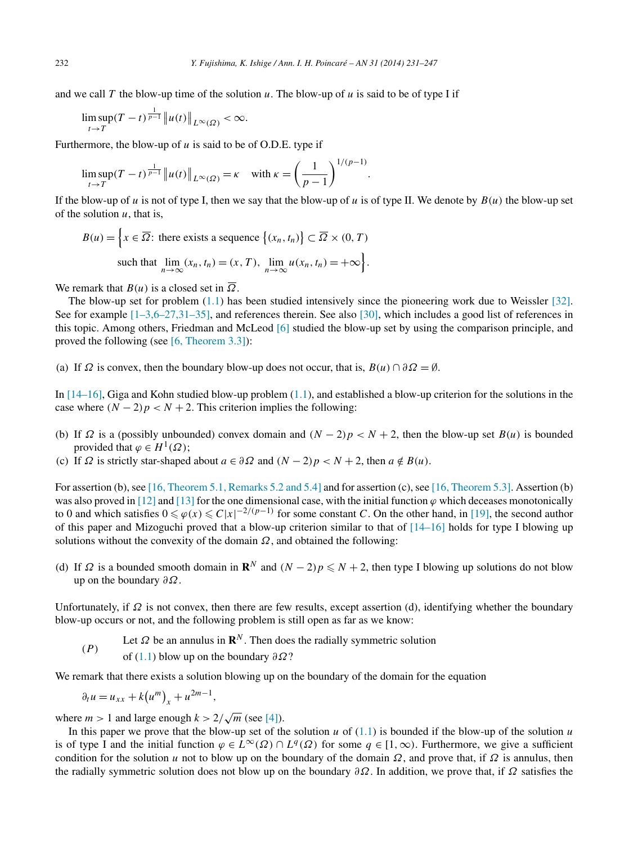and we call T the blow-up time of the solution  $u$ . The blow-up of  $u$  is said to be of type I if

$$
\limsup_{t\to T}(T-t)^{\frac{1}{p-1}}\|u(t)\|_{L^{\infty}(\Omega)}<\infty.
$$

Furthermore, the blow-up of *u* is said to be of O.D.E. type if

$$
\limsup_{t \to T} (T - t)^{\frac{1}{p-1}} \| u(t) \|_{L^{\infty}(\Omega)} = \kappa \quad \text{with } \kappa = \left( \frac{1}{p-1} \right)^{1/(p-1)}.
$$

If the blow-up of *u* is not of type I, then we say that the blow-up of *u* is of type II. We denote by  $B(u)$  the blow-up set of the solution  $u$ , that is,

$$
B(u) = \left\{ x \in \overline{\Omega} \colon \text{there exists a sequence } \{ (x_n, t_n) \} \subset \overline{\Omega} \times (0, T) \right\}
$$
  
such that 
$$
\lim_{n \to \infty} (x_n, t_n) = (x, T), \lim_{n \to \infty} u(x_n, t_n) = +\infty \right\}.
$$

We remark that  $B(u)$  is a closed set in  $\overline{\Omega}$ .

The blow-up set for problem [\(1.1\)](#page-0-0) has been studied intensively since the pioneering work due to Weissler [\[32\].](#page-16-0) See for example [\[1–3,6–27,31–35\],](#page-15-0) and references therein. See also [\[30\],](#page-16-0) which includes a good list of references in this topic. Among others, Friedman and McLeod [\[6\]](#page-15-0) studied the blow-up set by using the comparison principle, and proved the following (see [\[6, Theorem 3.3\]\)](#page-15-0):

(a) If  $\Omega$  is convex, then the boundary blow-up does not occur, that is,  $B(u) \cap \partial \Omega = \emptyset$ .

In  $[14–16]$ , Giga and Kohn studied blow-up problem  $(1.1)$ , and established a blow-up criterion for the solutions in the case where  $(N - 2)p < N + 2$ . This criterion implies the following:

- (b) If  $\Omega$  is a (possibly unbounded) convex domain and  $(N 2)p < N + 2$ , then the blow-up set  $B(u)$  is bounded provided that  $\varphi \in H^1(\Omega)$ ;
- (c) If  $\Omega$  is strictly star-shaped about  $a \in \partial \Omega$  and  $(N 2)p < N + 2$ , then  $a \notin B(u)$ .

For assertion (b), see [16, [Theorem 5.1, Remarks 5.2 and 5.4\]](#page-15-0) and for assertion (c), see [\[16, Theorem 5.3\].](#page-15-0) Assertion (b) was also proved in  $[12]$  and  $[13]$  for the one dimensional case, with the initial function  $\varphi$  which deceases monotonically to 0 and which satisfies  $0 \le \varphi(x) \le C|x|^{-2/(p-1)}$  for some constant *C*. On the other hand, in [\[19\],](#page-15-0) the second author of this paper and Mizoguchi proved that a blow-up criterion similar to that of  $[14-16]$  holds for type I blowing up solutions without the convexity of the domain  $\Omega$ , and obtained the following:

(d) If  $\Omega$  is a bounded smooth domain in  $\mathbb{R}^N$  and  $(N-2)p \le N+2$ , then type I blowing up solutions do not blow up on the boundary *∂Ω*.

Unfortunately, if *Ω* is not convex, then there are few results, except assertion (d), identifying whether the boundary blow-up occurs or not, and the following problem is still open as far as we know:

- *(P)* Let  $\Omega$  be an annulus in  $\mathbf{R}^N$ . Then does the radially symmetric solution
- of [\(1.1\)](#page-0-0) blow up on the boundary *∂Ω*?

We remark that there exists a solution blowing up on the boundary of the domain for the equation

$$
\partial_t u = u_{xx} + k(u^m)_x + u^{2m-1},
$$

where  $m > 1$  and large enough  $k > 2/\sqrt{m}$  (see [\[4\]\)](#page-15-0).

In this paper we prove that the blow-up set of the solution  $u$  of  $(1.1)$  is bounded if the blow-up of the solution  $u$ is of type I and the initial function  $\varphi \in L^{\infty}(\Omega) \cap L^{q}(\Omega)$  for some  $q \in [1, \infty)$ . Furthermore, we give a sufficient condition for the solution *u* not to blow up on the boundary of the domain  $\Omega$ , and prove that, if  $\Omega$  is annulus, then the radially symmetric solution does not blow up on the boundary *∂Ω*. In addition, we prove that, if *Ω* satisfies the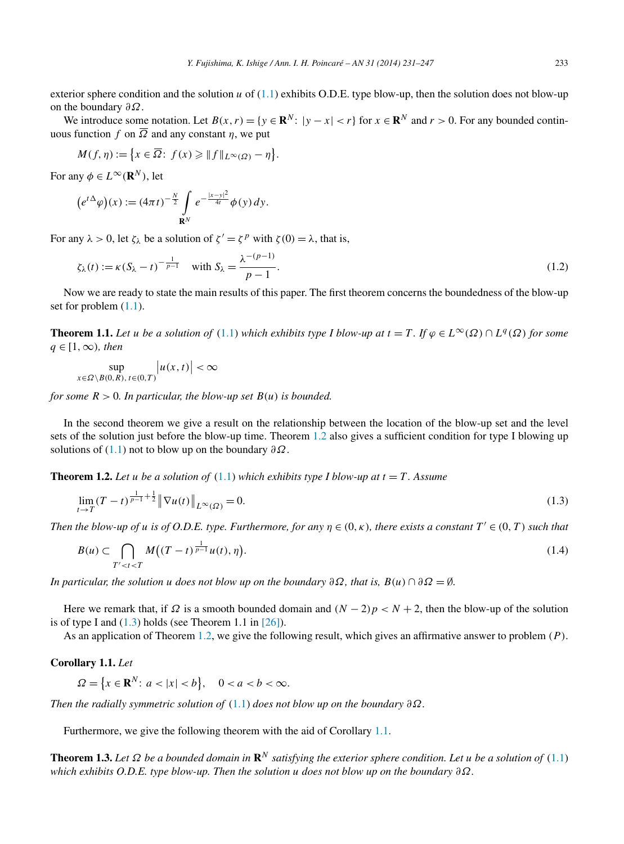<span id="page-2-0"></span>exterior sphere condition and the solution *u* of [\(1.1\)](#page-0-0) exhibits O.D.E. type blow-up, then the solution does not blow-up on the boundary *∂Ω*.

We introduce some notation. Let  $B(x, r) = \{y \in \mathbb{R}^N : |y - x| < r\}$  for  $x \in \mathbb{R}^N$  and  $r > 0$ . For any bounded continuous function *f* on  $\overline{\Omega}$  and any constant *η*, we put

$$
M(f,\eta) := \{ x \in \overline{\Omega} : f(x) \geq \| f \|_{L^{\infty}(\Omega)} - \eta \}.
$$

For any  $\phi \in L^{\infty}(\mathbb{R}^N)$ , let

$$
(e^{t\Delta}\varphi)(x) := (4\pi t)^{-\frac{N}{2}} \int_{\mathbf{R}^N} e^{-\frac{|x-y|^2}{4t}} \varphi(y) dy.
$$

For any  $\lambda > 0$ , let  $\zeta_{\lambda}$  be a solution of  $\zeta' = \zeta^{p}$  with  $\zeta(0) = \lambda$ , that is,

$$
\zeta_{\lambda}(t) := \kappa \left( S_{\lambda} - t \right)^{-\frac{1}{p-1}} \quad \text{with } S_{\lambda} = \frac{\lambda^{-(p-1)}}{p-1}.
$$
\n
$$
(1.2)
$$

Now we are ready to state the main results of this paper. The first theorem concerns the boundedness of the blow-up set for problem  $(1.1)$ .

**Theorem 1.1.** Let *u* be a solution of [\(1.1\)](#page-0-0) which exhibits type I blow-up at  $t = T$ . If  $\varphi \in L^{\infty}(\Omega) \cap L^{q}(\Omega)$  for some *q* ∈ [1*,*∞*), then*

$$
\sup_{x \in \Omega \setminus B(0,R), t \in (0,T)} |u(x,t)| < \infty
$$

*for some*  $R > 0$ *. In particular, the blow-up set*  $B(u)$  *is bounded.* 

In the second theorem we give a result on the relationship between the location of the blow-up set and the level sets of the solution just before the blow-up time. Theorem 1.2 also gives a sufficient condition for type I blowing up solutions of [\(1.1\)](#page-0-0) not to blow up on the boundary *∂Ω*.

**Theorem 1.2.** Let *u* be a solution of  $(1.1)$  which exhibits type I blow-up at  $t = T$ . Assume

$$
\lim_{t \to T} (T - t)^{\frac{1}{p - 1} + \frac{1}{2}} \|\nabla u(t)\|_{L^{\infty}(\Omega)} = 0.
$$
\n(1.3)

*Then the blow-up of u is of O.D.E. type. Furthermore, for any*  $\eta \in (0, \kappa)$ , there exists a constant  $T' \in (0, T)$  such that

$$
B(u) \subset \bigcap_{T' < t < T} M\big((T-t)^{\frac{1}{p-1}}u(t), \eta\big). \tag{1.4}
$$

*In particular, the solution u does not blow up on the boundary*  $\partial \Omega$ *, that is,*  $B(u) \cap \partial \Omega = \emptyset$ *.* 

Here we remark that, if  $\Omega$  is a smooth bounded domain and  $(N - 2)p < N + 2$ , then the blow-up of the solution is of type I and  $(1.3)$  holds (see Theorem 1.1 in  $[26]$ ).

As an application of Theorem 1.2, we give the following result, which gives an affirmative answer to problem *(P)*.

## **Corollary 1.1.** *Let*

$$
\Omega = \left\{ x \in \mathbf{R}^N \colon a < |x| < b \right\}, \quad 0 < a < b < \infty.
$$

*Then the radially symmetric solution of* [\(1.1\)](#page-0-0) *does not blow up on the boundary ∂Ω.*

Furthermore, we give the following theorem with the aid of Corollary 1.1.

**Theorem 1.3.** Let  $\Omega$  be a bounded domain in  $\mathbb{R}^N$  satisfying the exterior sphere condition. Let u be a solution of [\(1.1\)](#page-0-0) *which exhibits O.D.E. type blow-up. Then the solution u does not blow up on the boundary ∂Ω.*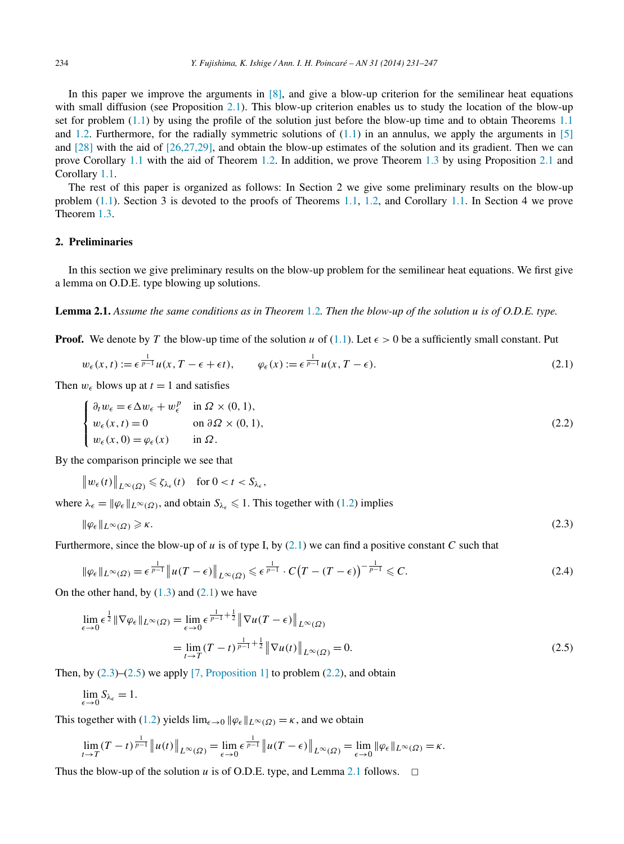<span id="page-3-0"></span>In this paper we improve the arguments in [\[8\],](#page-15-0) and give a blow-up criterion for the semilinear heat equations with small diffusion (see Proposition [2.1\)](#page-4-0). This blow-up criterion enables us to study the location of the blow-up set for problem  $(1.1)$  by using the profile of the solution just before the blow-up time and to obtain Theorems [1.1](#page-2-0) and [1.2.](#page-2-0) Furthermore, for the radially symmetric solutions of  $(1.1)$  in an annulus, we apply the arguments in [\[5\]](#page-15-0) and [\[28\]](#page-16-0) with the aid of [\[26,27,29\],](#page-15-0) and obtain the blow-up estimates of the solution and its gradient. Then we can prove Corollary [1.1](#page-2-0) with the aid of Theorem [1.2.](#page-2-0) In addition, we prove Theorem [1.3](#page-2-0) by using Proposition [2.1](#page-4-0) and Corollary [1.1.](#page-2-0)

The rest of this paper is organized as follows: In Section 2 we give some preliminary results on the blow-up problem [\(1.1\)](#page-0-0). Section 3 is devoted to the proofs of Theorems [1.1,](#page-2-0) [1.2,](#page-2-0) and Corollary [1.1.](#page-2-0) In Section 4 we prove Theorem [1.3.](#page-2-0)

## **2. Preliminaries**

In this section we give preliminary results on the blow-up problem for the semilinear heat equations. We first give a lemma on O.D.E. type blowing up solutions.

**Lemma 2.1.** *Assume the same conditions as in Theorem* [1.2](#page-2-0)*. Then the blow-up of the solution u is of O.D.E. type.*

**Proof.** We denote by T the blow-up time of the solution *u* of [\(1.1\)](#page-0-0). Let  $\epsilon > 0$  be a sufficiently small constant. Put

$$
w_{\epsilon}(x,t) := \epsilon^{\frac{1}{p-1}} u(x, T - \epsilon + \epsilon t), \qquad \varphi_{\epsilon}(x) := \epsilon^{\frac{1}{p-1}} u(x, T - \epsilon).
$$
\n(2.1)

Then  $w_{\epsilon}$  blows up at  $t = 1$  and satisfies

$$
\begin{cases} \n\partial_t w_{\epsilon} = \epsilon \Delta w_{\epsilon} + w_{\epsilon}^p & \text{in } \Omega \times (0, 1), \\ \nw_{\epsilon}(x, t) = 0 & \text{on } \partial \Omega \times (0, 1), \\ \nw_{\epsilon}(x, 0) = \varphi_{\epsilon}(x) & \text{in } \Omega. \n\end{cases} \tag{2.2}
$$

By the comparison principle we see that

$$
\|w_{\epsilon}(t)\|_{L^{\infty}(\Omega)} \leq \zeta_{\lambda_{\epsilon}}(t) \quad \text{for } 0 < t < S_{\lambda_{\epsilon}},
$$

where  $\lambda_{\epsilon} = ||\varphi_{\epsilon}||_{L^{\infty}(\Omega)}$ , and obtain  $S_{\lambda_{\epsilon}} \leq 1$ . This together with [\(1.2\)](#page-2-0) implies

$$
\|\varphi_{\epsilon}\|_{L^{\infty}(\Omega)} \geq \kappa. \tag{2.3}
$$

Furthermore, since the blow-up of *u* is of type I, by (2.1) we can find a positive constant *C* such that

$$
\|\varphi_{\epsilon}\|_{L^{\infty}(\Omega)} = \epsilon^{\frac{1}{p-1}} \|u(T-\epsilon)\|_{L^{\infty}(\Omega)} \leq \epsilon^{\frac{1}{p-1}} \cdot C\big(T-(T-\epsilon)\big)^{-\frac{1}{p-1}} \leq C. \tag{2.4}
$$

On the other hand, by  $(1.3)$  and  $(2.1)$  we have

$$
\lim_{\epsilon \to 0} \epsilon^{\frac{1}{2}} \|\nabla \varphi_{\epsilon}\|_{L^{\infty}(\Omega)} = \lim_{\epsilon \to 0} \epsilon^{\frac{1}{p-1} + \frac{1}{2}} \|\nabla u(T - \epsilon)\|_{L^{\infty}(\Omega)}
$$
\n
$$
= \lim_{t \to T} (T - t)^{\frac{1}{p-1} + \frac{1}{2}} \|\nabla u(t)\|_{L^{\infty}(\Omega)} = 0.
$$
\n(2.5)

Then, by  $(2.3)$ – $(2.5)$  we apply [\[7, Proposition 1\]](#page-15-0) to problem  $(2.2)$ , and obtain

$$
\lim_{\epsilon \to 0} S_{\lambda_{\epsilon}} = 1.
$$

This together with [\(1.2\)](#page-2-0) yields  $\lim_{\epsilon \to 0} ||\varphi_{\epsilon}||_{L^{\infty}(\Omega)} = \kappa$ , and we obtain

$$
\lim_{t\to T} (T-t)^{\frac{1}{p-1}} \|u(t)\|_{L^{\infty}(\Omega)} = \lim_{\epsilon\to 0} \epsilon^{\frac{1}{p-1}} \|u(T-\epsilon)\|_{L^{\infty}(\Omega)} = \lim_{\epsilon\to 0} \|\varphi_{\epsilon}\|_{L^{\infty}(\Omega)} = \kappa.
$$

Thus the blow-up of the solution *u* is of O.D.E. type, and Lemma 2.1 follows.  $\Box$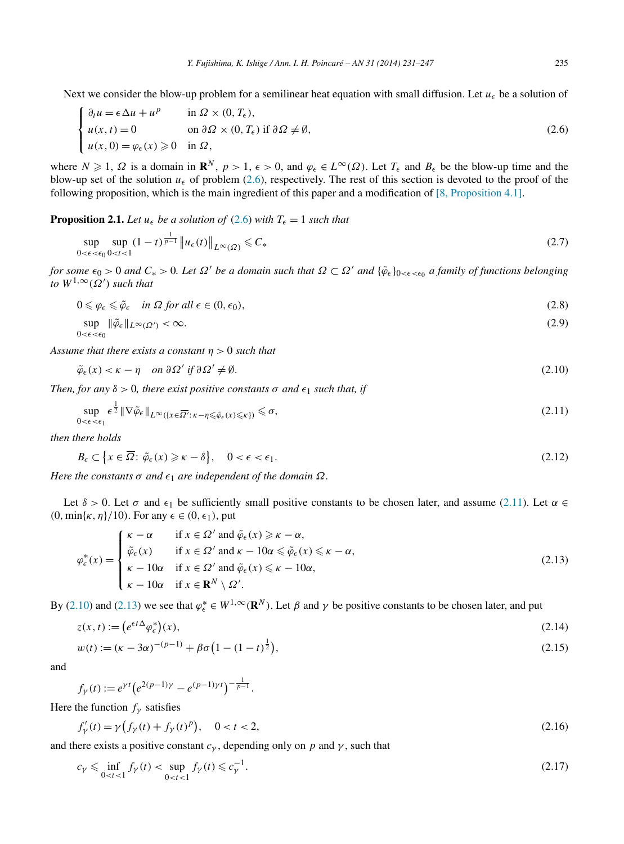<span id="page-4-0"></span>Next we consider the blow-up problem for a semilinear heat equation with small diffusion. Let  $u_{\epsilon}$  be a solution of

$$
\begin{cases} \n\partial_t u = \epsilon \Delta u + u^p & \text{in } \Omega \times (0, T_\epsilon), \\ \nu(x, t) = 0 & \text{on } \partial \Omega \times (0, T_\epsilon) \text{ if } \partial \Omega \neq \emptyset, \\ \nu(x, 0) = \varphi_\epsilon(x) \geq 0 & \text{in } \Omega, \n\end{cases} \tag{2.6}
$$

where  $N \ge 1$ ,  $\Omega$  is a domain in  $\mathbb{R}^N$ ,  $p > 1$ ,  $\epsilon > 0$ , and  $\varphi_{\epsilon} \in L^{\infty}(\Omega)$ . Let  $T_{\epsilon}$  and  $B_{\epsilon}$  be the blow-up time and the blow-up set of the solution  $u_{\epsilon}$  of problem (2.6), respectively. The rest of this section is devoted to the proof of the following proposition, which is the main ingredient of this paper and a modification of [\[8, Proposition 4.1\].](#page-15-0)

**Proposition 2.1.** *Let*  $u_{\epsilon}$  *be a solution of* (2.6) *with*  $T_{\epsilon} = 1$  *such that* 

$$
\sup_{0 < \epsilon < \epsilon_0} \sup_{0 < t < 1} (1 - t)^{\frac{1}{p - 1}} \| u_{\epsilon}(t) \|_{L^{\infty}(\Omega)} \leq C_* \tag{2.7}
$$

*for some*  $\epsilon_0 > 0$  *and*  $C_* > 0$ . Let  $\Omega'$  be a domain such that  $\Omega \subset \Omega'$  and  $\{\tilde{\varphi}_\epsilon\}_{0 < \epsilon < \epsilon_0}$  a family of functions belonging  $to W^{1,\infty}(\Omega')$  *such that* 

$$
0 \leq \varphi_{\epsilon} \leq \tilde{\varphi}_{\epsilon} \quad \text{in } \Omega \text{ for all } \epsilon \in (0, \epsilon_0), \tag{2.8}
$$

$$
\sup_{0 < \epsilon < \epsilon_0} \|\tilde{\varphi}_{\epsilon}\|_{L^{\infty}(\Omega')} < \infty. \tag{2.9}
$$

*Assume that there exists a constant η >* 0 *such that*

$$
\tilde{\varphi}_{\epsilon}(x) < \kappa - \eta \quad \text{on } \partial \Omega' \text{ if } \partial \Omega' \neq \emptyset. \tag{2.10}
$$

*Then, for any*  $\delta > 0$ *, there exist positive constants*  $\sigma$  *and*  $\epsilon_1$  *such that, if* 

$$
\sup_{0 < \epsilon < \epsilon_1} \epsilon^{\frac{1}{2}} \|\nabla \tilde{\varphi}_\epsilon\|_{L^\infty(\{x \in \overline{\Omega'} : \, \kappa - \eta \le \tilde{\varphi}_\epsilon(x) \le \kappa\})} \le \sigma,\tag{2.11}
$$

*then there holds*

$$
B_{\epsilon} \subset \left\{ x \in \overline{\Omega} : \tilde{\varphi}_{\epsilon}(x) \geqslant \kappa - \delta \right\}, \quad 0 < \epsilon < \epsilon_1. \tag{2.12}
$$

*Here the constants*  $\sigma$  *and*  $\epsilon_1$  *are independent of the domain*  $\Omega$ *.* 

Let  $\delta > 0$ . Let  $\sigma$  and  $\epsilon_1$  be sufficiently small positive constants to be chosen later, and assume (2.11). Let  $\alpha \in$  $(0, \min\{\kappa, \eta\}/10)$ . For any  $\epsilon \in (0, \epsilon_1)$ , put

$$
\varphi_{\epsilon}^{*}(x) = \begin{cases}\n\kappa - \alpha & \text{if } x \in \Omega' \text{ and } \tilde{\varphi}_{\epsilon}(x) \geq \kappa - \alpha, \\
\tilde{\varphi}_{\epsilon}(x) & \text{if } x \in \Omega' \text{ and } \kappa - 10\alpha \leq \tilde{\varphi}_{\epsilon}(x) \leq \kappa - \alpha, \\
\kappa - 10\alpha & \text{if } x \in \Omega' \text{ and } \tilde{\varphi}_{\epsilon}(x) \leq \kappa - 10\alpha, \\
\kappa - 10\alpha & \text{if } x \in \mathbf{R}^{N} \setminus \Omega'.\n\end{cases}
$$
\n(2.13)

By (2.10) and (2.13) we see that  $\varphi_{\epsilon}^* \in W^{1,\infty}(\mathbb{R}^N)$ . Let  $\beta$  and  $\gamma$  be positive constants to be chosen later, and put

$$
z(x,t) := \left(e^{\epsilon t \Delta} \varphi_{\epsilon}^*\right)(x),\tag{2.14}
$$

$$
w(t) := (\kappa - 3\alpha)^{-(p-1)} + \beta \sigma \left(1 - (1 - t)^{\frac{1}{2}}\right),\tag{2.15}
$$

and

$$
f_{\gamma}(t) := e^{\gamma t} \left( e^{2(p-1)\gamma} - e^{(p-1)\gamma t} \right)^{-\frac{1}{p-1}}.
$$

Here the function  $f_{\gamma}$  satisfies

$$
f'_{\gamma}(t) = \gamma \left( f_{\gamma}(t) + f_{\gamma}(t)^{p} \right), \quad 0 < t < 2,
$$
\n(2.16)

and there exists a positive constant  $c_\gamma$ , depending only on p and  $\gamma$ , such that

$$
c_{\gamma} \leq \inf_{0 < t < 1} f_{\gamma}(t) < \sup_{0 < t < 1} f_{\gamma}(t) \leq c_{\gamma}^{-1}.
$$
 (2.17)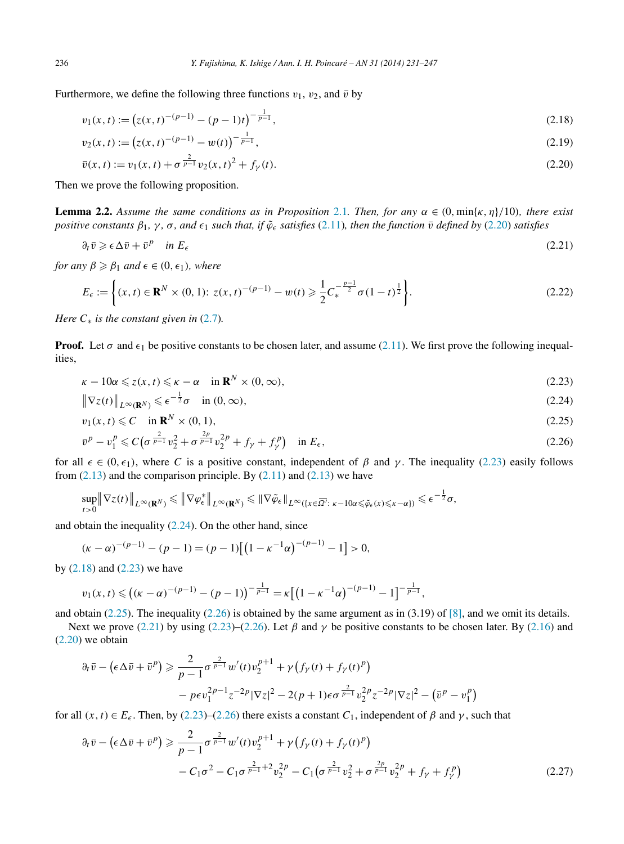<span id="page-5-0"></span>Furthermore, we define the following three functions  $v_1$ ,  $v_2$ , and  $\bar{v}$  by

$$
v_1(x,t) := \left( z(x,t)^{-(p-1)} - (p-1)t \right)^{-\frac{1}{p-1}},\tag{2.18}
$$

$$
v_2(x,t) := (z(x,t)^{-(p-1)} - w(t))^{-\frac{1}{p-1}},
$$
\n(2.19)

$$
\bar{v}(x,t) := v_1(x,t) + \sigma^{\frac{2}{p-1}} v_2(x,t)^2 + f_{\gamma}(t).
$$
\n(2.20)

Then we prove the following proposition.

**Lemma 2.2.** Assume the same conditions as in Proposition [2.1](#page-4-0). Then, for any  $\alpha \in (0, \min\{\kappa, \eta\}/10)$ , there exist positive constants  $\beta_1$ ,  $\gamma$ ,  $\sigma$ , and  $\epsilon_1$  such that, if  $\tilde{\varphi}_{\epsilon}$  satisfies [\(2.11\)](#page-4-0), then the function  $\bar{\nu}$  defined by (2.20) satisfies

$$
\partial_t \bar{v} \geqslant \epsilon \Delta \bar{v} + \bar{v}^p \quad \text{in } E_{\epsilon} \tag{2.21}
$$

 $for any  $\beta \geq \beta_1$  and  $\epsilon \in (0, \epsilon_1)$ , where$ 

$$
E_{\epsilon} := \left\{ (x, t) \in \mathbf{R}^{N} \times (0, 1) : z(x, t)^{-(p-1)} - w(t) \geqslant \frac{1}{2} C_{*}^{-\frac{p-1}{2}} \sigma (1-t)^{\frac{1}{2}} \right\}.
$$
\n(2.22)

*Here*  $C_*$  *is the constant given in* [\(2.7\)](#page-4-0)*.* 

**Proof.** Let  $\sigma$  and  $\epsilon_1$  be positive constants to be chosen later, and assume [\(2.11\)](#page-4-0). We first prove the following inequalities,

$$
\kappa - 10\alpha \leqslant z(x, t) \leqslant \kappa - \alpha \quad \text{in } \mathbf{R}^N \times (0, \infty), \tag{2.23}
$$

$$
\|\nabla z(t)\|_{L^{\infty}(\mathbf{R}^N)} \leqslant \epsilon^{-\frac{1}{2}}\sigma \quad \text{in } (0, \infty),
$$
\n(2.24)

$$
v_1(x,t) \leqslant C \quad \text{in } \mathbf{R}^N \times (0,1), \tag{2.25}
$$

$$
\bar{v}^p - v_1^p \le C \left( \sigma^{\frac{2}{p-1}} v_2^2 + \sigma^{\frac{2p}{p-1}} v_2^{2p} + f_\gamma + f_\gamma^p \right) \quad \text{in } E_\epsilon,
$$
\n(2.26)

for all  $\epsilon \in (0, \epsilon_1)$ , where *C* is a positive constant, independent of  $\beta$  and  $\gamma$ . The inequality (2.23) easily follows from  $(2.13)$  and the comparison principle. By  $(2.11)$  and  $(2.13)$  we have

$$
\sup_{t>0} \|\nabla z(t)\|_{L^{\infty}(\mathbf{R}^N)} \le \|\nabla \varphi_{\epsilon}^*\|_{L^{\infty}(\mathbf{R}^N)} \le \|\nabla \tilde{\varphi}_{\epsilon}\|_{L^{\infty}(\{x \in \overline{\Omega'} : \ \kappa - 10\alpha \le \tilde{\varphi}_{\epsilon}(x) \le \kappa - \alpha\})} \le \epsilon^{-\frac{1}{2}}\sigma,
$$

and obtain the inequality (2.24). On the other hand, since

$$
(\kappa - \alpha)^{-(p-1)} - (p-1) = (p-1)\left[\left(1 - \kappa^{-1}\alpha\right)^{-(p-1)} - 1\right] > 0,
$$

by  $(2.18)$  and  $(2.23)$  we have

$$
v_1(x,t) \leqslant \left((\kappa - \alpha)^{-(p-1)} - (p-1)\right)^{-\frac{1}{p-1}} = \kappa \left[\left(1 - \kappa^{-1} \alpha\right)^{-(p-1)} - 1\right]^{-\frac{1}{p-1}},
$$

and obtain (2.25). The inequality (2.26) is obtained by the same argument as in (3.19) of  $[8]$ , and we omit its details.

Next we prove (2.21) by using (2.23)–(2.26). Let *β* and *γ* be positive constants to be chosen later. By [\(2.16\)](#page-4-0) and (2.20) we obtain

$$
\partial_t \bar{v} - (\epsilon \Delta \bar{v} + \bar{v}^p) \geq \frac{2}{p-1} \sigma^{\frac{2}{p-1}} w'(t) v_2^{p+1} + \gamma (f_\gamma(t) + f_\gamma(t)^p) - p \epsilon v_1^{2p-1} z^{-2p} |\nabla z|^2 - 2(p+1) \epsilon \sigma^{\frac{2}{p-1}} v_2^{2p} z^{-2p} |\nabla z|^2 - (\bar{v}^p - v_1^p)
$$

for all  $(x, t) \in E_{\epsilon}$ . Then, by (2.23)–(2.26) there exists a constant  $C_1$ , independent of  $\beta$  and  $\gamma$ , such that

$$
\partial_t \bar{v} - (\epsilon \Delta \bar{v} + \bar{v}^p) \geq \frac{2}{p-1} \sigma^{\frac{2}{p-1}} w'(t) v_2^{p+1} + \gamma (f_\gamma(t) + f_\gamma(t)^p) - C_1 \sigma^2 - C_1 \sigma^{\frac{2}{p-1} + 2} v_2^{2p} - C_1 (\sigma^{\frac{2}{p-1}} v_2^2 + \sigma^{\frac{2p}{p-1}} v_2^{2p} + f_\gamma + f_\gamma^p)
$$
(2.27)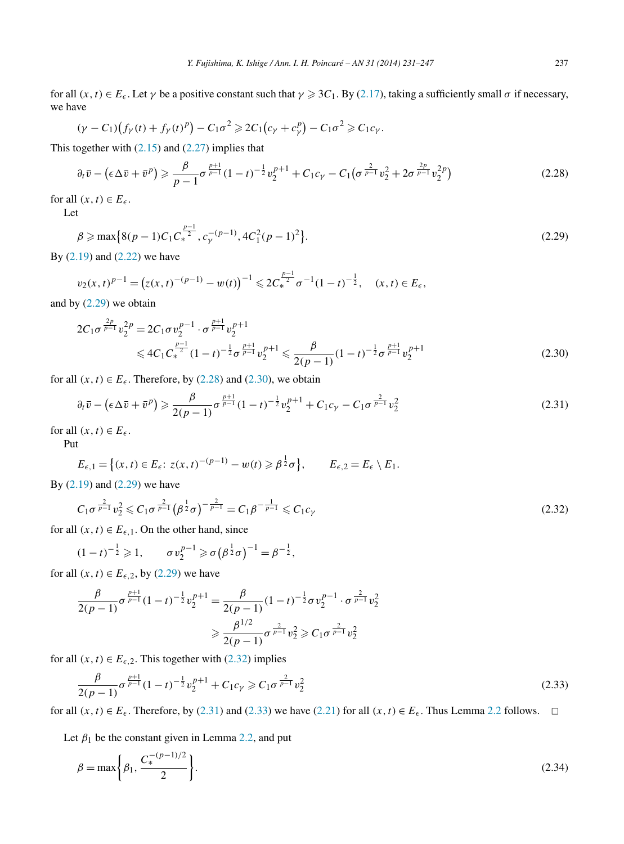<span id="page-6-0"></span>for all  $(x, t) \in E_{\epsilon}$ . Let  $\gamma$  be a positive constant such that  $\gamma \ge 3C_1$ . By [\(2.17\)](#page-4-0), taking a sufficiently small  $\sigma$  if necessary, we have

$$
(\gamma - C_1)\big(f_\gamma(t) + f_\gamma(t)^p\big) - C_1\sigma^2 \geq 2C_1\big(c_\gamma + c_\gamma^p\big) - C_1\sigma^2 \geq C_1c_\gamma.
$$

This together with  $(2.15)$  and  $(2.27)$  implies that

$$
\partial_t \bar{v} - \left(\epsilon \Delta \bar{v} + \bar{v}^p\right) \geq \frac{\beta}{p-1} \sigma^{\frac{p+1}{p-1}} (1-t)^{-\frac{1}{2}} v_2^{p+1} + C_1 c_\gamma - C_1 \left(\sigma^{\frac{2}{p-1}} v_2^2 + 2\sigma^{\frac{2p}{p-1}} v_2^{2p}\right)
$$
(2.28)

for all  $(x, t) \in E_{\epsilon}$ .

Let

$$
\beta \ge \max\left\{8(p-1)C_1C_*^{\frac{p-1}{2}}, c_\gamma^{-(p-1)}, 4C_1^2(p-1)^2\right\}.
$$
\n(2.29)

By [\(2.19\)](#page-5-0) and [\(2.22\)](#page-5-0) we have

$$
v_2(x,t)^{p-1} = (z(x,t)^{-(p-1)} - w(t))^{-1} \leq 2C_*^{\frac{p-1}{2}} \sigma^{-1} (1-t)^{-\frac{1}{2}}, \quad (x,t) \in E_{\epsilon},
$$

and by  $(2.29)$  we obtain

$$
2C_1\sigma^{\frac{2p}{p-1}}v_2^{2p} = 2C_1\sigma v_2^{p-1} \cdot \sigma^{\frac{p+1}{p-1}}v_2^{p+1}
$$
  
\$\leqslant 4C\_1C\_\*^{\frac{p-1}{2}}(1-t)^{-\frac{1}{2}}\sigma^{\frac{p+1}{p-1}}v\_2^{p+1} \leqslant \frac{\beta}{2(p-1)}(1-t)^{-\frac{1}{2}}\sigma^{\frac{p+1}{p-1}}v\_2^{p+1}\$ (2.30)

for all  $(x, t) \in E_{\epsilon}$ . Therefore, by (2.28) and (2.30), we obtain

$$
\partial_t \bar{v} - \left(\epsilon \Delta \bar{v} + \bar{v}^p\right) \geq \frac{\beta}{2(p-1)} \sigma^{\frac{p+1}{p-1}} (1-t)^{-\frac{1}{2}} v_2^{p+1} + C_1 c_\gamma - C_1 \sigma^{\frac{2}{p-1}} v_2^2 \tag{2.31}
$$

for all  $(x, t) \in E_{\epsilon}$ .

Put

$$
E_{\epsilon,1} = \left\{ (x,t) \in E_{\epsilon}: z(x,t)^{-(p-1)} - w(t) \geqslant \beta^{\frac{1}{2}} \sigma \right\}, \qquad E_{\epsilon,2} = E_{\epsilon} \setminus E_1.
$$

By [\(2.19\)](#page-5-0) and (2.29) we have

$$
C_1 \sigma^{\frac{2}{p-1}} v_2^2 \leq C_1 \sigma^{\frac{2}{p-1}} (\beta^{\frac{1}{2}} \sigma)^{-\frac{2}{p-1}} = C_1 \beta^{-\frac{1}{p-1}} \leq C_1 c_\gamma
$$
\n(2.32)

for all  $(x, t) \in E_{\epsilon,1}$ . On the other hand, since

$$
(1-t)^{-\frac{1}{2}} \geq 1, \qquad \sigma v_2^{p-1} \geq \sigma \left(\beta^{\frac{1}{2}} \sigma\right)^{-1} = \beta^{-\frac{1}{2}},
$$

for all  $(x, t) \in E_{\epsilon,2}$ , by (2.29) we have

$$
\frac{\beta}{2(p-1)}\sigma^{\frac{p+1}{p-1}}(1-t)^{-\frac{1}{2}}v_2^{p+1} = \frac{\beta}{2(p-1)}(1-t)^{-\frac{1}{2}}\sigma v_2^{p-1} \cdot \sigma^{\frac{2}{p-1}}v_2^2
$$

$$
\geq \frac{\beta^{1/2}}{2(p-1)}\sigma^{\frac{2}{p-1}}v_2^2 \geq C_1\sigma^{\frac{2}{p-1}}v_2^2
$$

for all  $(x, t) \in E_{\epsilon,2}$ . This together with (2.32) implies

$$
\frac{\beta}{2(p-1)}\sigma^{\frac{p+1}{p-1}}(1-t)^{-\frac{1}{2}}v_2^{p+1} + C_1c_\gamma \geqslant C_1\sigma^{\frac{2}{p-1}}v_2^2\tag{2.33}
$$

for all  $(x, t) \in E_\epsilon$ . Therefore, by (2.31) and (2.33) we have [\(2.21\)](#page-5-0) for all  $(x, t) \in E_\epsilon$ . Thus Lemma [2.2](#page-5-0) follows.  $\Box$ 

Let  $\beta_1$  be the constant given in Lemma [2.2,](#page-5-0) and put

$$
\beta = \max\left\{\beta_1, \frac{C_*^{-(p-1)/2}}{2}\right\}.
$$
\n(2.34)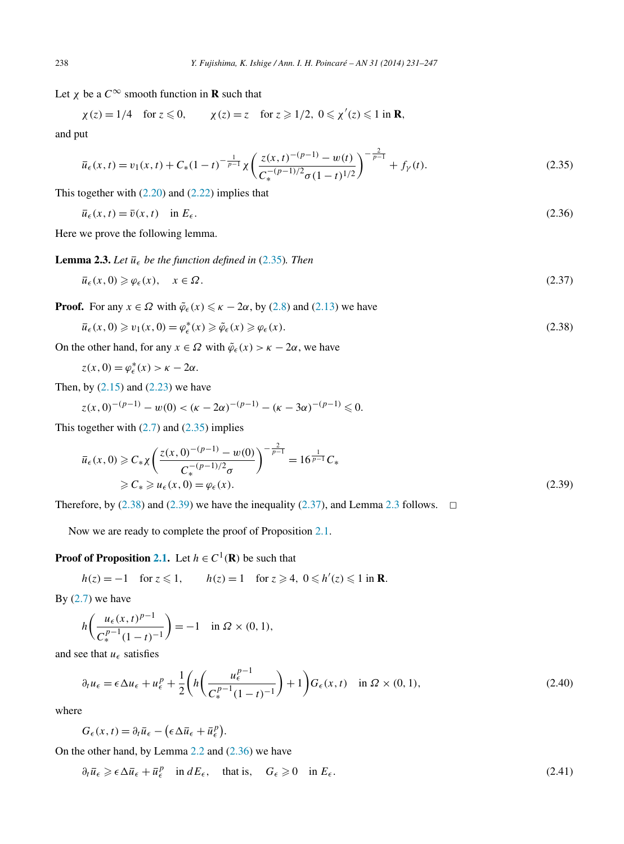<span id="page-7-0"></span>Let  $\chi$  be a  $C^{\infty}$  smooth function in **R** such that

$$
\chi(z) = 1/4
$$
 for  $z \le 0$ ,  $\chi(z) = z$  for  $z \ge 1/2$ ,  $0 \le \chi'(z) \le 1$  in **R**,

and put

$$
\overline{u}_{\epsilon}(x,t) = v_1(x,t) + C_*(1-t)^{-\frac{1}{p-1}} \chi \left( \frac{z(x,t)^{-(p-1)} - w(t)}{C_*^{-(p-1)/2} \sigma (1-t)^{1/2}} \right)^{-\frac{2}{p-1}} + f_{\gamma}(t).
$$
\n(2.35)

This together with  $(2.20)$  and  $(2.22)$  implies that

$$
\bar{u}_{\epsilon}(x,t) = \bar{v}(x,t) \quad \text{in } E_{\epsilon}.\tag{2.36}
$$

Here we prove the following lemma.

**Lemma 2.3.** Let  $\overline{u}_{\epsilon}$  be the function defined in (2.35). Then

$$
\overline{u}_{\epsilon}(x,0) \geq \varphi_{\epsilon}(x), \quad x \in \Omega. \tag{2.37}
$$

**Proof.** For any  $x \in \Omega$  with  $\tilde{\varphi}_{\epsilon}(x) \le \kappa - 2\alpha$ , by [\(2.8\)](#page-4-0) and [\(2.13\)](#page-4-0) we have

$$
\overline{u}_{\epsilon}(x,0) \geq v_1(x,0) = \varphi_{\epsilon}^*(x) \geq \tilde{\varphi}_{\epsilon}(x) \geq \varphi_{\epsilon}(x). \tag{2.38}
$$

On the other hand, for any  $x \in \Omega$  with  $\tilde{\varphi}_{{\epsilon}}(x) > \kappa - 2\alpha$ , we have

$$
z(x, 0) = \varphi_{\epsilon}^{*}(x) > \kappa - 2\alpha.
$$

Then, by  $(2.15)$  and  $(2.23)$  we have

$$
z(x,0)^{-(p-1)} - w(0) < (k-2\alpha)^{-(p-1)} - (k-3\alpha)^{-(p-1)} \leq 0.
$$

This together with  $(2.7)$  and  $(2.35)$  implies

$$
\overline{u}_{\epsilon}(x,0) \geq C_{*}\chi \left(\frac{z(x,0)^{-(p-1)} - w(0)}{C_{*}^{-(p-1)/2}\sigma}\right)^{-\frac{2}{p-1}} = 16^{\frac{1}{p-1}}C_{*}
$$
\n
$$
\geq C_{*} \geq u_{\epsilon}(x,0) = \varphi_{\epsilon}(x). \tag{2.39}
$$

Therefore, by (2.38) and (2.39) we have the inequality (2.37), and Lemma 2.3 follows.  $\Box$ 

Now we are ready to complete the proof of Proposition [2.1.](#page-4-0)

## **Proof of Proposition [2.1.](#page-4-0)** Let  $h \in C^1(\mathbb{R})$  be such that

$$
h(z) = -1 \quad \text{for } z \leq 1, \qquad h(z) = 1 \quad \text{for } z \geq 4, \ 0 \leq h'(z) \leq 1 \text{ in } \mathbf{R}.
$$

By  $(2.7)$  we have

$$
h\left(\frac{u_{\epsilon}(x,t)^{p-1}}{C_{*}^{p-1}(1-t)^{-1}}\right) = -1 \quad \text{in } \Omega \times (0,1),
$$

and see that  $u_{\epsilon}$  satisfies

$$
\partial_t u_{\epsilon} = \epsilon \Delta u_{\epsilon} + u_{\epsilon}^p + \frac{1}{2} \left( h \left( \frac{u_{\epsilon}^{p-1}}{C_{\ast}^{p-1} (1-t)^{-1}} \right) + 1 \right) G_{\epsilon}(x, t) \quad \text{in } \Omega \times (0, 1), \tag{2.40}
$$

where

$$
G_{\epsilon}(x,t) = \partial_t \bar{u}_{\epsilon} - (\epsilon \Delta \bar{u}_{\epsilon} + \bar{u}_{\epsilon}^p).
$$

On the other hand, by Lemma [2.2](#page-5-0) and (2.36) we have

$$
\partial_t \overline{u}_{\epsilon} \geqslant \epsilon \Delta \overline{u}_{\epsilon} + \overline{u}_{\epsilon}^p \quad \text{in } dE_{\epsilon}, \quad \text{that is,} \quad G_{\epsilon} \geqslant 0 \quad \text{in } E_{\epsilon}.
$$
\n
$$
(2.41)
$$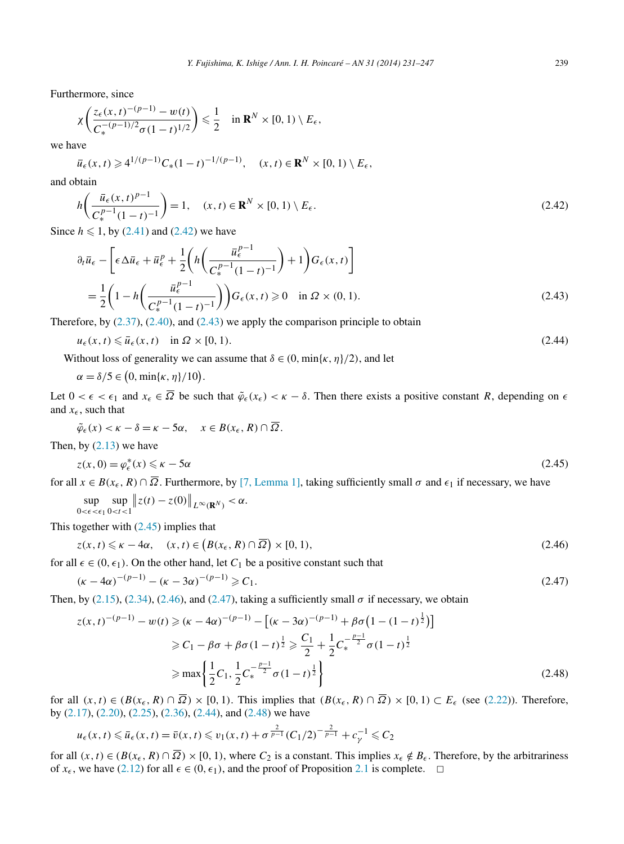Furthermore, since

$$
\chi\left(\frac{z_{\epsilon}(x,t)^{-(p-1)}-w(t)}{C_*^{-(p-1)/2}\sigma(1-t)^{1/2}}\right) \leq \frac{1}{2} \quad \text{in } \mathbf{R}^N \times [0,1) \setminus E_{\epsilon},
$$

we have

$$
\overline{u}_{\epsilon}(x,t) \geq 4^{1/(p-1)} C_{*}(1-t)^{-1/(p-1)}, \quad (x,t) \in \mathbf{R}^{N} \times [0,1) \setminus E_{\epsilon},
$$

and obtain

$$
h\left(\frac{\bar{u}_{\epsilon}(x,t)^{p-1}}{C_{*}^{p-1}(1-t)^{-1}}\right) = 1, \quad (x,t) \in \mathbf{R}^{N} \times [0,1) \setminus E_{\epsilon}.
$$
 (2.42)

Since  $h \leq 1$ , by [\(2.41\)](#page-7-0) and (2.42) we have

$$
\partial_t \overline{u}_{\epsilon} - \left[ \epsilon \Delta \overline{u}_{\epsilon} + \overline{u}_{\epsilon}^p + \frac{1}{2} \left( h \left( \frac{\overline{u}_{\epsilon}^{p-1}}{C_{\epsilon}^{p-1} (1-t)^{-1}} \right) + 1 \right) G_{\epsilon}(x, t) \right]
$$
  
= 
$$
\frac{1}{2} \left( 1 - h \left( \frac{\overline{u}_{\epsilon}^{p-1}}{C_{\epsilon}^{p-1} (1-t)^{-1}} \right) G_{\epsilon}(x, t) \ge 0 \quad \text{in } \Omega \times (0, 1).
$$
 (2.43)

Therefore, by [\(2.37\)](#page-7-0), [\(2.40\)](#page-7-0), and (2.43) we apply the comparison principle to obtain

$$
u_{\epsilon}(x,t) \leq \overline{u}_{\epsilon}(x,t) \quad \text{in } \Omega \times [0,1). \tag{2.44}
$$

Without loss of generality we can assume that  $\delta \in (0, \min\{\kappa, \eta\}/2)$ , and let

$$
\alpha = \delta/5 \in (0, \min\{\kappa, \eta\}/10).
$$

Let  $0 < \epsilon < \epsilon_1$  and  $x_{\epsilon} \in \overline{\Omega}$  be such that  $\tilde{\varphi}_{\epsilon}(x_{\epsilon}) < \kappa - \delta$ . Then there exists a positive constant *R*, depending on  $\epsilon$ and  $x_{\epsilon}$ , such that

$$
\tilde{\varphi}_{\epsilon}(x) < \kappa - \delta = \kappa - 5\alpha, \quad x \in B(x_{\epsilon}, R) \cap \overline{\Omega}.
$$

Then, by  $(2.13)$  we have

$$
z(x,0) = \varphi_{\epsilon}^*(x) \leq \kappa - 5\alpha \tag{2.45}
$$

for all  $x \in B(x_{\epsilon}, R) \cap \overline{\Omega}$ . Furthermore, by [\[7, Lemma 1\],](#page-15-0) taking sufficiently small  $\sigma$  and  $\epsilon_1$  if necessary, we have

sup  $0<\epsilon<\epsilon_1$ sup 0*<t<*1  $||z(t) - z(0)||_{L^{\infty}(\mathbf{R}^N)} < \alpha.$ 

This together with (2.45) implies that

$$
z(x,t) \leq \kappa - 4\alpha, \quad (x,t) \in (B(x_{\epsilon}, R) \cap \overline{\Omega}) \times [0, 1), \tag{2.46}
$$

for all  $\epsilon \in (0, \epsilon_1)$ . On the other hand, let  $C_1$  be a positive constant such that

$$
(\kappa - 4\alpha)^{-(p-1)} - (\kappa - 3\alpha)^{-(p-1)} \ge C_1.
$$
\n(2.47)

Then, by [\(2.15\)](#page-4-0), [\(2.34\)](#page-6-0), (2.46), and (2.47), taking a sufficiently small  $\sigma$  if necessary, we obtain

$$
z(x, t)^{-(p-1)} - w(t) \ge (k - 4\alpha)^{-(p-1)} - \left[ (k - 3\alpha)^{-(p-1)} + \beta \sigma \left( 1 - (1 - t)^{\frac{1}{2}} \right) \right]
$$
  
\n
$$
\ge C_1 - \beta \sigma + \beta \sigma \left( 1 - t \right)^{\frac{1}{2}} \ge \frac{C_1}{2} + \frac{1}{2} C_*^{-\frac{p-1}{2}} \sigma \left( 1 - t \right)^{\frac{1}{2}}
$$
  
\n
$$
\ge \max \left\{ \frac{1}{2} C_1, \frac{1}{2} C_*^{-\frac{p-1}{2}} \sigma \left( 1 - t \right)^{\frac{1}{2}} \right\}
$$
\n(2.48)

for all  $(x, t) \in (B(x_{\epsilon}, R) \cap \overline{\Omega}) \times [0, 1)$ . This implies that  $(B(x_{\epsilon}, R) \cap \overline{\Omega}) \times [0, 1) \subset E_{\epsilon}$  (see [\(2.22\)](#page-5-0)). Therefore, by [\(2.17\)](#page-4-0), [\(2.20\)](#page-5-0), [\(2.25\)](#page-5-0), [\(2.36\)](#page-7-0), (2.44), and (2.48) we have

$$
u_{\epsilon}(x, t) \leq \overline{u}_{\epsilon}(x, t) = \overline{v}(x, t) \leq v_1(x, t) + \sigma^{\frac{2}{p-1}} (C_1/2)^{-\frac{2}{p-1}} + c_{\gamma}^{-1} \leq C_2
$$

for all  $(x, t) \in (B(x_{\epsilon}, R) \cap \overline{\Omega}) \times [0, 1)$ , where  $C_2$  is a constant. This implies  $x_{\epsilon} \notin B_{\epsilon}$ . Therefore, by the arbitrariness of  $x_{\epsilon}$ , we have [\(2.12\)](#page-4-0) for all  $\epsilon \in (0, \epsilon_1)$ , and the proof of Proposition [2.1](#page-4-0) is complete.  $\Box$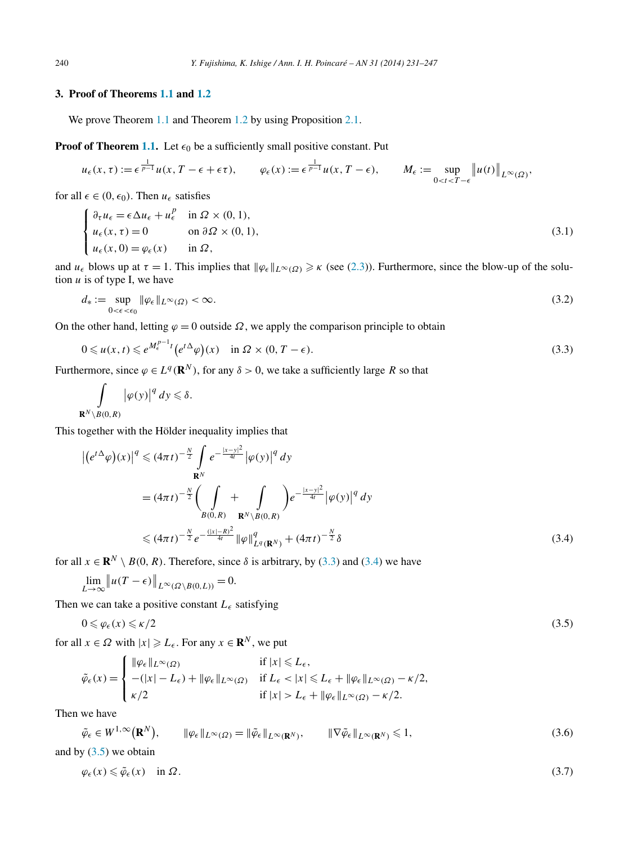## <span id="page-9-0"></span>**3. Proof of Theorems [1.1](#page-2-0) and [1.2](#page-2-0)**

We prove Theorem [1.1](#page-2-0) and Theorem [1.2](#page-2-0) by using Proposition [2.1.](#page-4-0)

**Proof of Theorem [1.1.](#page-2-0)** Let  $\epsilon_0$  be a sufficiently small positive constant. Put

$$
u_{\epsilon}(x,\tau) := \epsilon^{\frac{1}{p-1}} u(x, T - \epsilon + \epsilon \tau), \qquad \varphi_{\epsilon}(x) := \epsilon^{\frac{1}{p-1}} u(x, T - \epsilon), \qquad M_{\epsilon} := \sup_{0 < t < T - \epsilon} \left\| u(t) \right\|_{L^{\infty}(\Omega)},
$$

for all  $\epsilon \in (0, \epsilon_0)$ . Then  $u_{\epsilon}$  satisfies

$$
\begin{cases} \n\partial_{\tau} u_{\epsilon} = \epsilon \Delta u_{\epsilon} + u_{\epsilon}^{p} & \text{in } \Omega \times (0, 1), \\ \nu_{\epsilon}(x, \tau) = 0 & \text{on } \partial \Omega \times (0, 1), \\ \nu_{\epsilon}(x, 0) = \varphi_{\epsilon}(x) & \text{in } \Omega, \n\end{cases} \tag{3.1}
$$

and  $u_{\epsilon}$  blows up at  $\tau = 1$ . This implies that  $\|\varphi_{\epsilon}\|_{L^{\infty}(\Omega)} \geq \kappa$  (see [\(2.3\)](#page-3-0)). Furthermore, since the blow-up of the solution  $u$  is of type I, we have

$$
d_* := \sup_{0 < \epsilon < \epsilon_0} \|\varphi_\epsilon\|_{L^\infty(\Omega)} < \infty. \tag{3.2}
$$

On the other hand, letting  $\varphi = 0$  outside  $\Omega$ , we apply the comparison principle to obtain

$$
0 \leq u(x,t) \leq e^{M_{\epsilon}^{p-1}t} \left(e^{t\Delta}\varphi\right)(x) \quad \text{in } \Omega \times (0,T-\epsilon). \tag{3.3}
$$

Furthermore, since  $\varphi \in L^q(\mathbf{R}^N)$ , for any  $\delta > 0$ , we take a sufficiently large *R* so that

$$
\int_{\mathbf{R}^N\setminus B(0,R)}|\varphi(y)|^q dy\leqslant \delta.
$$

This together with the Hölder inequality implies that

$$
\begin{split} \left| \left( e^{t\Delta} \varphi \right) (x) \right|^q &\leqslant (4\pi t)^{-\frac{N}{2}} \int_{\mathbf{R}^N} e^{-\frac{|x-y|^2}{4t}} \left| \varphi(y) \right|^q dy \\ &= (4\pi t)^{-\frac{N}{2}} \bigg( \int_{B(0,R)} + \int_{\mathbf{R}^N \setminus B(0,R)} \bigg) e^{-\frac{|x-y|^2}{4t}} \left| \varphi(y) \right|^q dy \\ &\leqslant (4\pi t)^{-\frac{N}{2}} e^{-\frac{(|x|-R)^2}{4t}} \left| \varphi \right|_{L^q(\mathbf{R}^N)}^q + (4\pi t)^{-\frac{N}{2}} \delta \end{split} \tag{3.4}
$$

for all  $x \in \mathbb{R}^N \setminus B(0, R)$ . Therefore, since  $\delta$  is arbitrary, by (3.3) and (3.4) we have

$$
\lim_{L \to \infty} \|u(T - \epsilon)\|_{L^{\infty}(\Omega \setminus B(0, L))} = 0.
$$

Then we can take a positive constant  $L_{\epsilon}$  satisfying

$$
0 \leq \varphi_{\epsilon}(x) \leq \kappa/2 \tag{3.5}
$$

for all  $x \in \Omega$  with  $|x| \geqslant L_{\epsilon}$ . For any  $x \in \mathbb{R}^N$ , we put

$$
\tilde{\varphi}_{\epsilon}(x) = \begin{cases}\n\|\varphi_{\epsilon}\|_{L^{\infty}(\Omega)} & \text{if } |x| \le L_{\epsilon}, \\
-(|x| - L_{\epsilon}) + \|\varphi_{\epsilon}\|_{L^{\infty}(\Omega)} & \text{if } L_{\epsilon} < |x| \le L_{\epsilon} + \|\varphi_{\epsilon}\|_{L^{\infty}(\Omega)} - \kappa/2, \\
\kappa/2 & \text{if } |x| > L_{\epsilon} + \|\varphi_{\epsilon}\|_{L^{\infty}(\Omega)} - \kappa/2.\n\end{cases}
$$

Then we have

$$
\tilde{\varphi}_{\epsilon} \in W^{1,\infty}(\mathbf{R}^N), \qquad \|\varphi_{\epsilon}\|_{L^{\infty}(\Omega)} = \|\tilde{\varphi}_{\epsilon}\|_{L^{\infty}(\mathbf{R}^N)}, \qquad \|\nabla \tilde{\varphi}_{\epsilon}\|_{L^{\infty}(\mathbf{R}^N)} \leq 1, \tag{3.6}
$$

and by  $(3.5)$  we obtain

$$
\varphi_{\epsilon}(x) \leq \tilde{\varphi}_{\epsilon}(x) \quad \text{in } \Omega. \tag{3.7}
$$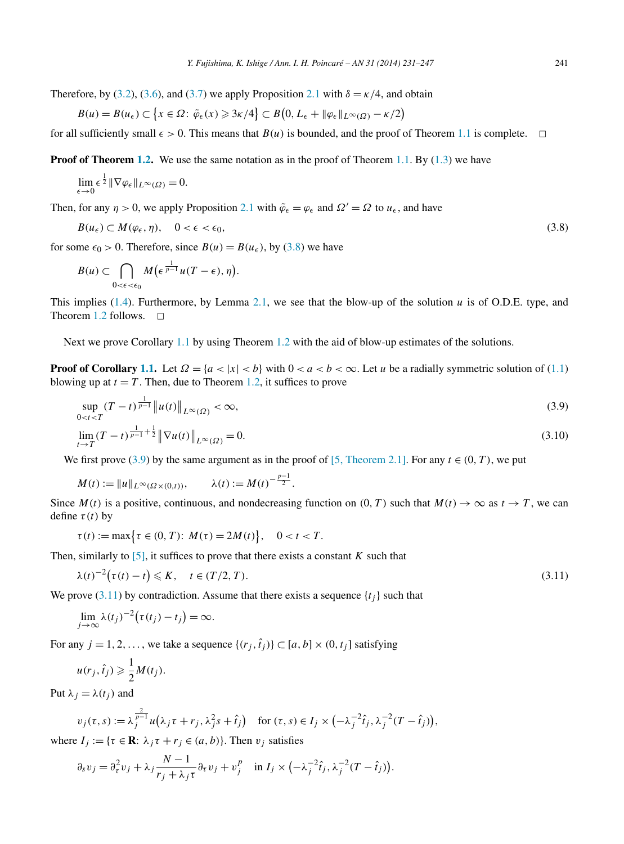<span id="page-10-0"></span>Therefore, by [\(3.2\)](#page-9-0), [\(3.6\)](#page-9-0), and [\(3.7\)](#page-9-0) we apply Proposition [2.1](#page-4-0) with  $\delta = \frac{\kappa}{4}$ , and obtain

$$
B(u) = B(u_{\epsilon}) \subset \{x \in \Omega : \tilde{\varphi}_{\epsilon}(x) \geq 3\kappa/4\} \subset B(0, L_{\epsilon} + ||\varphi_{\epsilon}||_{L^{\infty}(\Omega)} - \kappa/2)
$$

for all sufficiently small  $\epsilon > 0$ . This means that  $B(u)$  is bounded, and the proof of Theorem [1.1](#page-2-0) is complete.  $\Box$ 

**Proof of Theorem [1.2.](#page-2-0)** We use the same notation as in the proof of Theorem [1.1.](#page-2-0) By [\(1.3\)](#page-2-0) we have

$$
\lim_{\epsilon \to 0} \epsilon^{\frac{1}{2}} \|\nabla \varphi_{\epsilon}\|_{L^{\infty}(\Omega)} = 0.
$$

Then, for any  $\eta > 0$ , we apply Proposition [2.1](#page-4-0) with  $\tilde{\varphi}_{\epsilon} = \varphi_{\epsilon}$  and  $\Omega' = \Omega$  to  $u_{\epsilon}$ , and have

$$
B(u_{\epsilon}) \subset M(\varphi_{\epsilon}, \eta), \quad 0 < \epsilon < \epsilon_0,
$$
\n
$$
(3.8)
$$

for some  $\epsilon_0 > 0$ . Therefore, since  $B(u) = B(u_\epsilon)$ , by (3.8) we have

$$
B(u) \subset \bigcap_{0 < \epsilon < \epsilon_0} M\big(\epsilon^{\frac{1}{p-1}}u(T-\epsilon), \eta\big).
$$

This implies [\(1.4\)](#page-2-0). Furthermore, by Lemma [2.1,](#page-3-0) we see that the blow-up of the solution  $u$  is of O.D.E. type, and Theorem [1.2](#page-2-0) follows.  $\square$ 

Next we prove Corollary [1.1](#page-2-0) by using Theorem [1.2](#page-2-0) with the aid of blow-up estimates of the solutions.

**Proof of Corollary [1.1.](#page-2-0)** Let  $\Omega = \{a < |x| < b\}$  with  $0 < a < b < \infty$ . Let *u* be a radially symmetric solution of [\(1.1\)](#page-0-0) blowing up at  $t = T$ . Then, due to Theorem [1.2,](#page-2-0) it suffices to prove

$$
\sup_{0\n(3.9)\n
$$
\lim_{t \to T} (T-t)^{\frac{1}{p-1}+\frac{1}{2}} \|\nabla u(t)\|_{L^{\infty}(\Omega)} = 0.
$$
\n(3.10)
$$

We first prove (3.9) by the same argument as in the proof of [5, Theorem 2.1]. For any 
$$
t \in (0, T)
$$
, we put

$$
M(t) := \|u\|_{L^{\infty}(\Omega \times (0,t))}, \qquad \lambda(t) := M(t)^{-\frac{p-1}{2}}.
$$

Since  $M(t)$  is a positive, continuous, and nondecreasing function on  $(0, T)$  such that  $M(t) \to \infty$  as  $t \to T$ , we can define  $\tau(t)$  by

$$
\tau(t) := \max \{ \tau \in (0, T) : M(\tau) = 2M(t) \}, \quad 0 < t < T.
$$

Then, similarly to  $[5]$ , it suffices to prove that there exists a constant *K* such that

$$
\lambda(t)^{-2} \big(\tau(t) - t\big) \leqslant K, \quad t \in (T/2, T). \tag{3.11}
$$

We prove  $(3.11)$  by contradiction. Assume that there exists a sequence  $\{t_i\}$  such that

$$
\lim_{j\to\infty}\lambda(t_j)^{-2}(\tau(t_j)-t_j)=\infty.
$$

For any  $j = 1, 2, \ldots$ , we take a sequence  $\{(r_j, \hat{t}_j)\} \subset [a, b] \times (0, t_j]$  satisfying

$$
u(r_j, \hat{t}_j) \geqslant \frac{1}{2} M(t_j).
$$

Put  $\lambda_i = \lambda(t_i)$  and

$$
v_j(\tau, s) := \lambda_j^{\frac{2}{p-1}} u(\lambda_j \tau + r_j, \lambda_j^2 s + \hat{t}_j) \quad \text{for } (\tau, s) \in I_j \times \left(-\lambda_j^{-2} \hat{t}_j, \lambda_j^{-2} (T - \hat{t}_j)\right),
$$

where  $I_i := \{ \tau \in \mathbb{R} : \lambda_i \tau + r_i \in (a, b) \}.$  Then  $v_i$  satisfies

$$
\partial_s v_j = \partial_\tau^2 v_j + \lambda_j \frac{N-1}{r_j + \lambda_j \tau} \partial_\tau v_j + v_j^p \quad \text{in } I_j \times \left( -\lambda_j^{-2} \hat{t}_j, \lambda_j^{-2} (T - \hat{t}_j) \right).
$$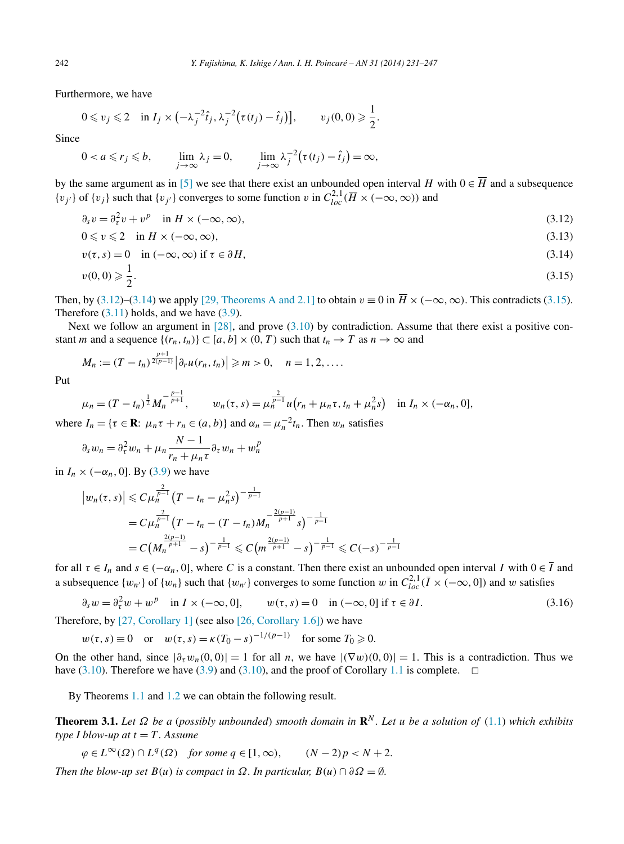Furthermore, we have

$$
0 \leq v_j \leq 2 \quad \text{in } I_j \times \left(-\lambda_j^{-2} \hat{t}_j, \lambda_j^{-2} \big(\tau(t_j) - \hat{t}_j\big)\right], \qquad v_j(0,0) \geq \frac{1}{2}.
$$

Since

$$
0 < a \leq r_j \leq b, \qquad \lim_{j \to \infty} \lambda_j = 0, \qquad \lim_{j \to \infty} \lambda_j^{-2} \big( \tau(t_j) - \hat{t}_j \big) = \infty,
$$

by the same argument as in [\[5\]](#page-15-0) we see that there exist an unbounded open interval *H* with  $0 \in \overline{H}$  and a subsequence  $\{v_j\}$  of  $\{v_j\}$  such that  $\{v_{j'}\}$  converges to some function *v* in  $C_{loc}^{2,1}(\overline{H} \times (-\infty,\infty))$  and

$$
\partial_s v = \partial_t^2 v + v^p \quad \text{in } H \times (-\infty, \infty), \tag{3.12}
$$

$$
0 \leq v \leq 2 \quad \text{in } H \times (-\infty, \infty), \tag{3.13}
$$

$$
v(\tau, s) = 0 \quad \text{in } (-\infty, \infty) \text{ if } \tau \in \partial H,
$$
\n
$$
(3.14)
$$

$$
v(0,0) \geqslant \frac{1}{2}.\tag{3.15}
$$

Then, by (3.12)–(3.14) we apply [\[29, Theorems A and 2.1\]](#page-16-0) to obtain  $v \equiv 0$  in  $\overline{H} \times (-\infty, \infty)$ . This contradicts (3.15). Therefore  $(3.11)$  holds, and we have  $(3.9)$ .

Next we follow an argument in  $[28]$ , and prove  $(3.10)$  by contradiction. Assume that there exist a positive constant *m* and a sequence  $\{(r_n, t_n)\} \subset [a, b] \times (0, T)$  such that  $t_n \to T$  as  $n \to \infty$  and

$$
M_n := (T - t_n)^{\frac{p+1}{2(p-1)}} \left| \partial_r u(r_n, t_n) \right| \geqslant m > 0, \quad n = 1, 2, \dots
$$

Put

$$
\mu_n = (T - t_n)^{\frac{1}{2}} M_n^{-\frac{p-1}{p+1}}, \qquad w_n(\tau, s) = \mu_n^{\frac{2}{p-1}} u(r_n + \mu_n \tau, t_n + \mu_n^2 s) \quad \text{in } I_n \times (-\alpha_n, 0],
$$

where  $I_n = \{ \tau \in \mathbf{R} : \mu_n \tau + r_n \in (a, b) \}$  and  $\alpha_n = \mu_n^{-2} t_n$ . Then  $w_n$  satisfies

$$
\partial_s w_n = \partial_{\tau}^2 w_n + \mu_n \frac{N-1}{r_n + \mu_n \tau} \partial_{\tau} w_n + w_n^p
$$

in  $I_n \times (-\alpha_n, 0]$ . By [\(3.9\)](#page-10-0) we have

$$
\left| w_n(\tau, s) \right| \leq C \mu_n^{\frac{2}{p-1}} \left( T - t_n - \mu_n^2 s \right)^{-\frac{1}{p-1}}
$$
  
=  $C \mu_n^{\frac{2}{p-1}} \left( T - t_n - (T - t_n) M_n^{-\frac{2(p-1)}{p+1}} s \right)^{-\frac{1}{p-1}}$   
=  $C \left( M_n^{\frac{2(p-1)}{p+1}} - s \right)^{-\frac{1}{p-1}} \leq C \left( m^{\frac{2(p-1)}{p+1}} - s \right)^{-\frac{1}{p-1}} \leq C (-s)^{-\frac{1}{p-1}}$ 

for all  $\tau \in I_n$  and  $s \in (-\alpha_n, 0]$ , where *C* is a constant. Then there exist an unbounded open interval *I* with  $0 \in \overline{I}$  and a subsequence  $\{w_{n'}\}$  of  $\{w_{n}\}$  such that  $\{w_{n'}\}$  converges to some function *w* in  $C_{loc}^{2,1}(\bar{I} \times (-\infty,0])$  and *w* satisfies

$$
\partial_s w = \partial_\tau^2 w + w^p \quad \text{in } I \times (-\infty, 0], \qquad w(\tau, s) = 0 \quad \text{in } (-\infty, 0] \text{ if } \tau \in \partial I. \tag{3.16}
$$

Therefore, by [27, [Corollary 1\]](#page-15-0) (see also [\[26, Corollary 1.6\]\)](#page-15-0) we have

$$
w(\tau, s) \equiv 0
$$
 or  $w(\tau, s) = \kappa (T_0 - s)^{-1/(p-1)}$  for some  $T_0 \ge 0$ .

On the other hand, since  $|\partial_{\tau} w_n(0,0)| = 1$  for all *n*, we have  $|\nabla w(0,0)| = 1$ . This is a contradiction. Thus we have [\(3.10\)](#page-10-0). Therefore we have [\(3.9\)](#page-10-0) and (3.10), and the proof of Corollary [1.1](#page-2-0) is complete.  $\Box$ 

By Theorems [1.1](#page-2-0) and [1.2](#page-2-0) we can obtain the following result.

**Theorem 3.1.** *Let*  $\Omega$  *be a* (*possibly unbounded*) *smooth domain in*  $\mathbb{R}^N$ *. Let u be a solution of* [\(1.1\)](#page-0-0) *which exhibits type I blow-up at*  $t = T$ *. Assume* 

 $\varphi \in L^{\infty}(\Omega) \cap L^{q}(\Omega)$  *for some*  $q \in [1, \infty)$ ,  $(N-2)p < N+2$ .

*Then the blow-up set*  $B(u)$  *is compact in*  $\Omega$ *. In particular,*  $B(u) \cap \partial \Omega = \emptyset$ *.* 

<span id="page-11-0"></span>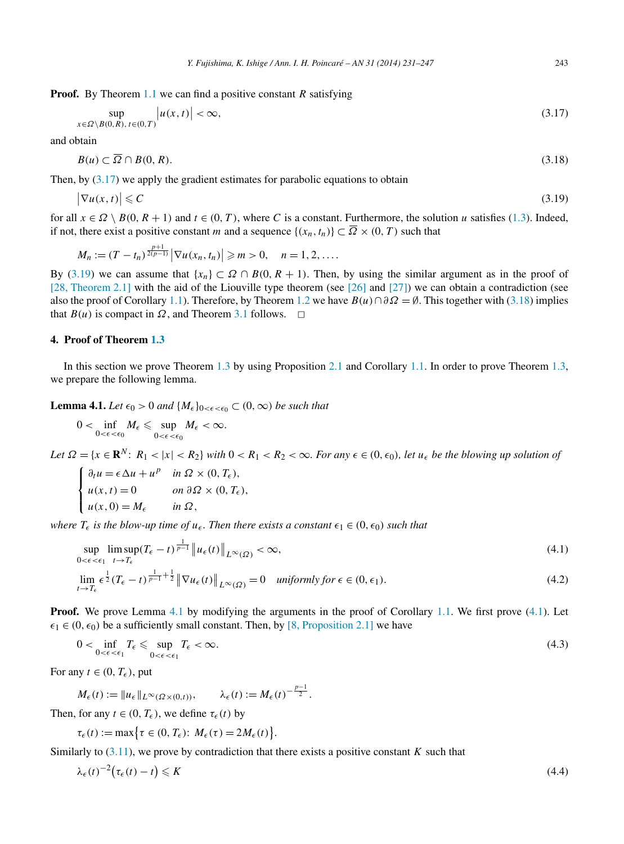<span id="page-12-0"></span>**Proof.** By Theorem [1.1](#page-2-0) we can find a positive constant *R* satisfying

$$
\sup_{x \in \Omega \setminus B(0,R), \, t \in (0,T)} |u(x,t)| < \infty,\tag{3.17}
$$

and obtain

$$
B(u) \subset \overline{\Omega} \cap B(0, R). \tag{3.18}
$$

Then, by  $(3.17)$  we apply the gradient estimates for parabolic equations to obtain

$$
\left|\nabla u(x,t)\right| \leqslant C\tag{3.19}
$$

for all  $x \in \Omega \setminus B(0, R+1)$  and  $t \in (0, T)$ , where *C* is a constant. Furthermore, the solution *u* satisfies [\(1.3\)](#page-2-0). Indeed, if not, there exist a positive constant *m* and a sequence  $\{(x_n, t_n)\}\subset \overline{\Omega}\times(0, T)$  such that

$$
M_n := (T - t_n)^{\frac{p+1}{2(p-1)}} |\nabla u(x_n, t_n)| \geq m > 0, \quad n = 1, 2, ....
$$

By (3.19) we can assume that  $\{x_n\} \subset \Omega \cap B(0, R + 1)$ . Then, by using the similar argument as in the proof of [\[28, Theorem 2.1\]](#page-16-0) with the aid of the Liouville type theorem (see [\[26\]](#page-15-0) and [\[27\]\)](#page-15-0) we can obtain a contradiction (see also the proof of Corollary [1.1\)](#page-2-0). Therefore, by Theorem [1.2](#page-2-0) we have  $B(u) \cap \partial \Omega = \emptyset$ . This together with (3.18) implies that *B*(*u*) is compact in  $\Omega$ , and Theorem [3.1](#page-11-0) follows.  $\Box$ 

#### **4. Proof of Theorem [1.3](#page-2-0)**

In this section we prove Theorem [1.3](#page-2-0) by using Proposition [2.1](#page-4-0) and Corollary [1.1.](#page-2-0) In order to prove Theorem [1.3,](#page-2-0) we prepare the following lemma.

**Lemma 4.1.** *Let*  $\epsilon_0 > 0$  *and*  $\{M_{\epsilon}\}_{0 < \epsilon < \epsilon_0} \subset (0, \infty)$  *be such that* 

$$
0<\inf_{0<\epsilon<\epsilon_0}M_{\epsilon}\leqslant \sup_{0<\epsilon<\epsilon_0}M_{\epsilon}<\infty.
$$

Let  $\Omega = \{x \in \mathbf{R}^N : R_1 < |x| < R_2\}$  with  $0 < R_1 < R_2 < \infty$ . For any  $\epsilon \in (0, \epsilon_0)$ , let  $u_{\epsilon}$  be the blowing up solution of

$$
\begin{cases} \n\partial_t u = \epsilon \Delta u + u^p & \text{in } \Omega \times (0, T_\epsilon), \\ \nu(x, t) = 0 & \text{on } \partial \Omega \times (0, T_\epsilon), \\ \nu(x, 0) = M_\epsilon & \text{in } \Omega, \n\end{cases}
$$

*where*  $T_{\epsilon}$  *is the blow-up time of*  $u_{\epsilon}$ *. Then there exists a constant*  $\epsilon_1 \in (0, \epsilon_0)$  *such that* 

$$
\sup_{0 < \epsilon < \epsilon_1} \limsup_{t \to T_\epsilon} (T_\epsilon - t)^{\frac{1}{p-1}} \| u_\epsilon(t) \|_{L^\infty(\Omega)} < \infty,\tag{4.1}
$$

$$
\lim_{t \to T_{\epsilon}} \epsilon^{\frac{1}{2}} (T_{\epsilon} - t)^{\frac{1}{p-1} + \frac{1}{2}} \|\nabla u_{\epsilon}(t)\|_{L^{\infty}(\Omega)} = 0 \quad \text{uniformly for } \epsilon \in (0, \epsilon_1). \tag{4.2}
$$

**Proof.** We prove Lemma 4.1 by modifying the arguments in the proof of Corollary [1.1.](#page-2-0) We first prove (4.1). Let  $\epsilon_1 \in (0, \epsilon_0)$  be a sufficiently small constant. Then, by [\[8, Proposition 2.1\]](#page-15-0) we have

$$
0 < \inf_{0 < \epsilon < \epsilon_1} T_{\epsilon} \leqslant \sup_{0 < \epsilon < \epsilon_1} T_{\epsilon} < \infty. \tag{4.3}
$$

For any  $t \in (0, T_{\epsilon})$ , put

$$
M_{\epsilon}(t) := \|u_{\epsilon}\|_{L^{\infty}(\Omega \times (0,t))}, \qquad \lambda_{\epsilon}(t) := M_{\epsilon}(t)^{-\frac{p-1}{2}}.
$$

Then, for any  $t \in (0, T_{\epsilon})$ , we define  $\tau_{\epsilon}(t)$  by

$$
\tau_{\epsilon}(t) := \max\bigl\{\tau \in (0, T_{\epsilon}) : M_{\epsilon}(\tau) = 2M_{\epsilon}(t)\bigr\}.
$$

Similarly to  $(3.11)$ , we prove by contradiction that there exists a positive constant *K* such that

$$
\lambda_{\epsilon}(t)^{-2} \big(\tau_{\epsilon}(t) - t\big) \leqslant K \tag{4.4}
$$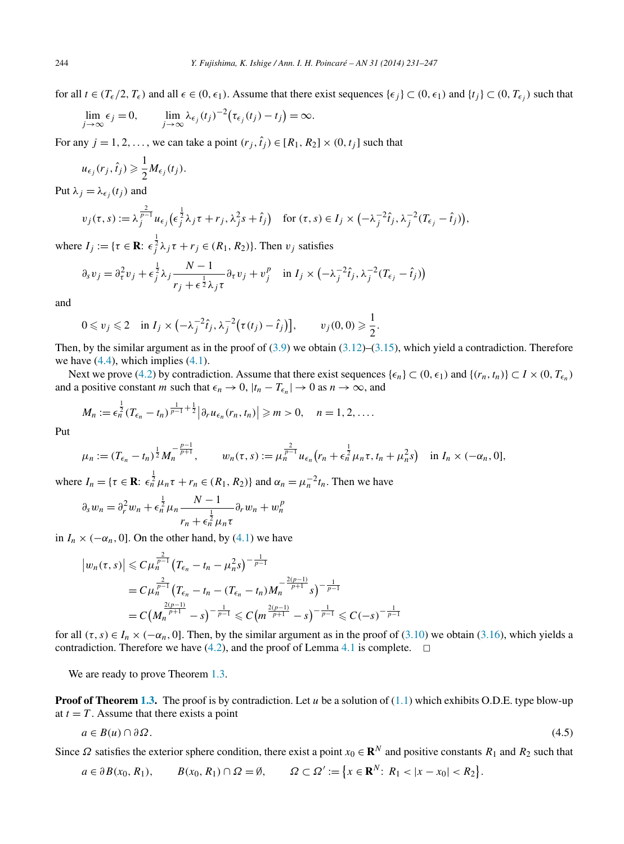<span id="page-13-0"></span>for all  $t \in (T_{\epsilon}/2, T_{\epsilon})$  and all  $\epsilon \in (0, \epsilon_1)$ . Assume that there exist sequences  $\{\epsilon_j\} \subset (0, \epsilon_1)$  and  $\{t_j\} \subset (0, T_{\epsilon_j})$  such that

$$
\lim_{j \to \infty} \epsilon_j = 0, \qquad \lim_{j \to \infty} \lambda_{\epsilon_j}(t_j)^{-2} (\tau_{\epsilon_j}(t_j) - t_j) = \infty.
$$

For any  $j = 1, 2, \ldots$ , we can take a point  $(r_j, \hat{t}_j) \in [R_1, R_2] \times (0, t_j]$  such that

$$
u_{\epsilon_j}(r_j, \hat{t}_j) \geq \frac{1}{2} M_{\epsilon_j}(t_j).
$$

Put  $\lambda_j = \lambda_{\epsilon_j}(t_j)$  and

$$
v_j(\tau,s) := \lambda_j^{\frac{2}{p-1}} u_{\epsilon_j} \left( \epsilon_j^{\frac{1}{2}} \lambda_j \tau + r_j, \lambda_j^2 s + \hat{t}_j \right) \quad \text{for } (\tau,s) \in I_j \times \left( -\lambda_j^{-2} \hat{t}_j, \lambda_j^{-2} (T_{\epsilon_j} - \hat{t}_j) \right),
$$

where  $I_j := \{ \tau \in \mathbf{R} : \epsilon_j^{\frac{1}{2}} \lambda_j \tau + r_j \in (R_1, R_2) \}$ . Then  $v_j$  satisfies

$$
\partial_s v_j = \partial_\tau^2 v_j + \epsilon_j^{\frac{1}{2}} \lambda_j \frac{N-1}{r_j + \epsilon^{\frac{1}{2}} \lambda_j \tau} \partial_\tau v_j + v_j^p \quad \text{in } I_j \times \left( -\lambda_j^{-2} \hat{t}_j, \lambda_j^{-2} (T_{\epsilon_j} - \hat{t}_j) \right)
$$

and

$$
0 \leqslant v_j \leqslant 2 \quad \text{in } I_j \times \left(-\lambda_j^{-2}\hat{t}_j, \lambda_j^{-2}\big(\tau(t_j)-\hat{t}_j\big)\right], \qquad v_j(0,0) \geqslant \frac{1}{2}
$$

Then, by the similar argument as in the proof of  $(3.9)$  we obtain  $(3.12)$ – $(3.15)$ , which yield a contradiction. Therefore we have  $(4.4)$ , which implies  $(4.1)$ .

*.*

Next we prove [\(4.2\)](#page-12-0) by contradiction. Assume that there exist sequences  $\{\epsilon_n\} \subset (0, \epsilon_1)$  and  $\{(r_n, t_n)\} \subset I \times (0, T_{\epsilon_n})$ and a positive constant *m* such that  $\epsilon_n \to 0$ ,  $|t_n - T_{\epsilon_n}| \to 0$  as  $n \to \infty$ , and

$$
M_n := \epsilon_n^{\frac{1}{2}} (T_{\epsilon_n} - t_n)^{\frac{1}{p-1} + \frac{1}{2}} \Big| \partial_r u_{\epsilon_n}(r_n, t_n) \Big| \geqslant m > 0, \quad n = 1, 2, \ldots.
$$

Put

$$
\mu_n := (T_{\epsilon_n} - t_n)^{\frac{1}{2}} M_n^{-\frac{p-1}{p+1}}, \qquad w_n(\tau, s) := \mu_n^{\frac{2}{p-1}} u_{\epsilon_n} (r_n + \epsilon_n^{\frac{1}{2}} \mu_n \tau, t_n + \mu_n^2 s) \quad \text{in } I_n \times (-\alpha_n, 0],
$$

where  $I_n = \{ \tau \in \mathbf{R} : \epsilon_n^{\frac{1}{2}} \mu_n \tau + r_n \in (R_1, R_2) \}$  and  $\alpha_n = \mu_n^{-2} t_n$ . Then we have

$$
\partial_s w_n = \partial_r^2 w_n + \epsilon_n^{\frac{1}{2}} \mu_n \frac{N-1}{r_n + \epsilon_n^{\frac{1}{2}} \mu_n \tau} \partial_r w_n + w_n^p
$$

in  $I_n \times (-\alpha_n, 0]$ . On the other hand, by [\(4.1\)](#page-12-0) we have

$$
\left| w_n(\tau,s) \right| \leq C \mu_n^{\frac{2}{p-1}} \left( T_{\epsilon_n} - t_n - \mu_n^2 s \right)^{-\frac{1}{p-1}}
$$
  
=  $C \mu_n^{\frac{2}{p-1}} \left( T_{\epsilon_n} - t_n - (T_{\epsilon_n} - t_n) M_n^{-\frac{2(p-1)}{p+1}} s \right)^{-\frac{1}{p-1}}$   
=  $C \left( M_n^{\frac{2(p-1)}{p+1}} - s \right)^{-\frac{1}{p-1}} \leq C \left( m^{\frac{2(p-1)}{p+1}} - s \right)^{-\frac{1}{p-1}} \leq C (-s)^{-\frac{1}{p-1}}$ 

for all  $(\tau, s) \in I_n \times (-\alpha_n, 0]$ . Then, by the similar argument as in the proof of [\(3.10\)](#page-10-0) we obtain [\(3.16\)](#page-11-0), which yields a contradiction. Therefore we have [\(4.2\)](#page-12-0), and the proof of Lemma [4.1](#page-12-0) is complete.  $\Box$ 

We are ready to prove Theorem [1.3.](#page-2-0)

**Proof of Theorem [1.3.](#page-2-0)** The proof is by contradiction. Let *u* be a solution of [\(1.1\)](#page-0-0) which exhibits O.D.E. type blow-up at  $t = T$ . Assume that there exists a point

$$
a \in B(u) \cap \partial \Omega. \tag{4.5}
$$

Since  $\Omega$  satisfies the exterior sphere condition, there exist a point  $x_0 \in \mathbb{R}^N$  and positive constants  $R_1$  and  $R_2$  such that

$$
a \in \partial B(x_0, R_1), \qquad B(x_0, R_1) \cap \Omega = \emptyset, \qquad \Omega \subset \Omega' := \left\{ x \in \mathbf{R}^N \colon R_1 < |x - x_0| < R_2 \right\}.
$$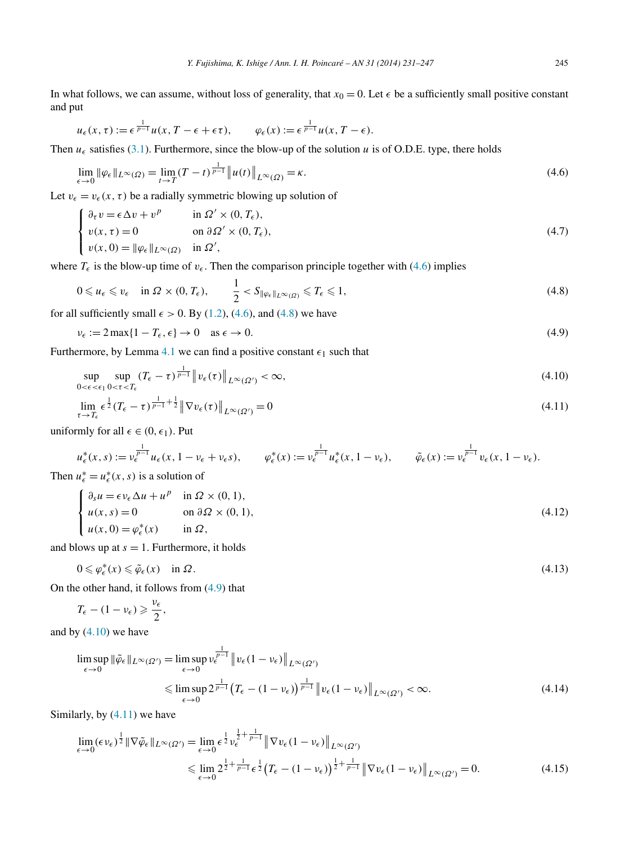<span id="page-14-0"></span>In what follows, we can assume, without loss of generality, that  $x_0 = 0$ . Let  $\epsilon$  be a sufficiently small positive constant and put

$$
u_{\epsilon}(x,\tau) := \epsilon^{\frac{1}{p-1}} u(x, T - \epsilon + \epsilon \tau), \qquad \varphi_{\epsilon}(x) := \epsilon^{\frac{1}{p-1}} u(x, T - \epsilon).
$$

Then  $u_{\epsilon}$  satisfies [\(3.1\)](#page-9-0). Furthermore, since the blow-up of the solution *u* is of O.D.E. type, there holds

$$
\lim_{\epsilon \to 0} \|\varphi_{\epsilon}\|_{L^{\infty}(\Omega)} = \lim_{t \to T} (T - t)^{\frac{1}{p - 1}} \|u(t)\|_{L^{\infty}(\Omega)} = \kappa.
$$
\n(4.6)

Let  $v_{\epsilon} = v_{\epsilon}(x, \tau)$  be a radially symmetric blowing up solution of

$$
\begin{cases}\n\partial_{\tau} v = \epsilon \Delta v + v^{p} & \text{in } \Omega' \times (0, T_{\epsilon}), \\
v(x, \tau) = 0 & \text{on } \partial \Omega' \times (0, T_{\epsilon}), \\
v(x, 0) = ||\varphi_{\epsilon}||_{L^{\infty}(\Omega)} & \text{in } \Omega',\n\end{cases}
$$
\n(4.7)

where  $T_{\epsilon}$  is the blow-up time of  $v_{\epsilon}$ . Then the comparison principle together with (4.6) implies

$$
0 \leqslant u_{\epsilon} \leqslant v_{\epsilon} \quad \text{in } \Omega \times (0, T_{\epsilon}), \qquad \frac{1}{2} < S_{\|\varphi_{\epsilon}\|_{L^{\infty}(\Omega)}} \leqslant T_{\epsilon} \leqslant 1,\tag{4.8}
$$

for all sufficiently small  $\epsilon > 0$ . By [\(1.2\)](#page-2-0), (4.6), and (4.8) we have

$$
\nu_{\epsilon} := 2\max\{1 - T_{\epsilon}, \epsilon\} \to 0 \quad \text{as } \epsilon \to 0. \tag{4.9}
$$

Furthermore, by Lemma [4.1](#page-12-0) we can find a positive constant  $\epsilon_1$  such that

$$
\sup_{0 < \epsilon < \epsilon_1} \sup_{0 < \tau < T_\epsilon} (T_\epsilon - \tau)^{\frac{1}{p-1}} \| v_\epsilon(\tau) \|_{L^\infty(\Omega')} < \infty,\tag{4.10}
$$

$$
\lim_{\tau \to T_{\epsilon}} \epsilon^{\frac{1}{2}} (T_{\epsilon} - \tau)^{\frac{1}{p-1} + \frac{1}{2}} \|\nabla v_{\epsilon}(\tau)\|_{L^{\infty}(\Omega')} = 0
$$
\n(4.11)

uniformly for all  $\epsilon \in (0, \epsilon_1)$ . Put

$$
u_{\epsilon}^*(x,s) := v_{\epsilon}^{\frac{1}{p-1}} u_{\epsilon}(x,1-v_{\epsilon}+v_{\epsilon}s), \qquad \varphi_{\epsilon}^*(x) := v_{\epsilon}^{\frac{1}{p-1}} u_{\epsilon}^*(x,1-v_{\epsilon}), \qquad \tilde{\varphi}_{\epsilon}(x) := v_{\epsilon}^{\frac{1}{p-1}} v_{\epsilon}(x,1-v_{\epsilon}).
$$

Then  $u_{\epsilon}^* = u_{\epsilon}^*(x, s)$  is a solution of

$$
\begin{cases}\n\partial_s u = \epsilon v_\epsilon \Delta u + u^p & \text{in } \Omega \times (0, 1), \\
u(x, s) = 0 & \text{on } \partial \Omega \times (0, 1), \\
u(x, 0) = \varphi_\epsilon^*(x) & \text{in } \Omega,\n\end{cases}
$$
\n(4.12)

and blows up at  $s = 1$ . Furthermore, it holds

$$
0 \leqslant \varphi_{\epsilon}^*(x) \leqslant \tilde{\varphi}_{\epsilon}(x) \quad \text{in } \Omega. \tag{4.13}
$$

On the other hand, it follows from (4.9) that

$$
T_{\epsilon}-(1-\nu_{\epsilon})\geqslant \frac{\nu_{\epsilon}}{2},
$$

and by  $(4.10)$  we have

$$
\limsup_{\epsilon \to 0} \|\tilde{\varphi}_{\epsilon}\|_{L^{\infty}(\Omega')} = \limsup_{\epsilon \to 0} \nu_{\epsilon}^{\frac{1}{p-1}} \|v_{\epsilon}(1 - \nu_{\epsilon})\|_{L^{\infty}(\Omega')}
$$
\n
$$
\leq \limsup_{\epsilon \to 0} 2^{\frac{1}{p-1}} \left( T_{\epsilon} - (1 - \nu_{\epsilon}) \right)^{\frac{1}{p-1}} \|v_{\epsilon}(1 - \nu_{\epsilon})\|_{L^{\infty}(\Omega')} < \infty.
$$
\n(4.14)

Similarly, by  $(4.11)$  we have

$$
\lim_{\epsilon \to 0} (\epsilon \nu_{\epsilon})^{\frac{1}{2}} \| \nabla \tilde{\varphi}_{\epsilon} \|_{L^{\infty}(\Omega')} = \lim_{\epsilon \to 0} \epsilon^{\frac{1}{2}} \nu_{\epsilon}^{\frac{1}{2} + \frac{1}{p-1}} \| \nabla v_{\epsilon} (1 - \nu_{\epsilon}) \|_{L^{\infty}(\Omega')}
$$
\n
$$
\leq \lim_{\epsilon \to 0} 2^{\frac{1}{2} + \frac{1}{p-1}} \epsilon^{\frac{1}{2}} \left( T_{\epsilon} - (1 - \nu_{\epsilon}) \right)^{\frac{1}{2} + \frac{1}{p-1}} \| \nabla v_{\epsilon} (1 - \nu_{\epsilon}) \|_{L^{\infty}(\Omega')} = 0.
$$
\n(4.15)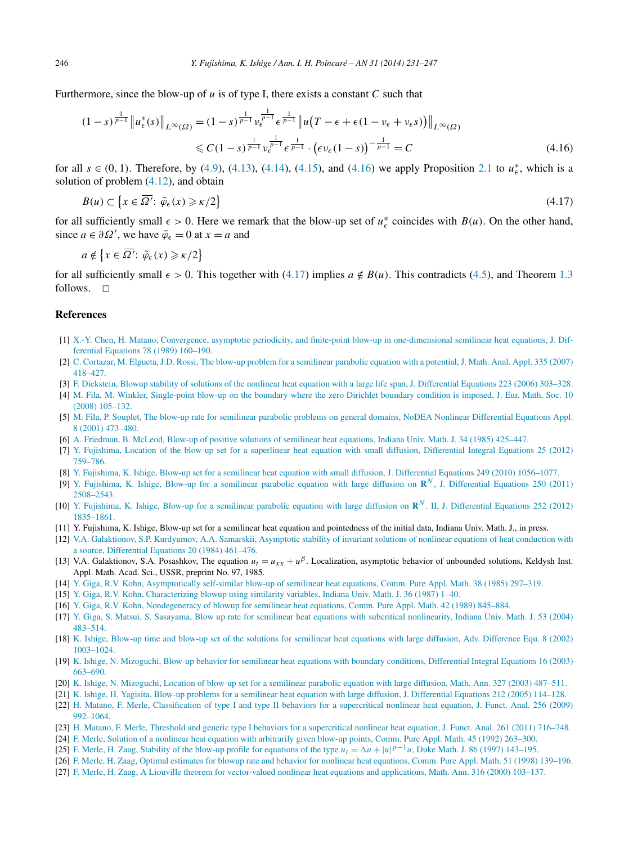Furthermore, since the blow-up of *u* is of type I, there exists a constant *C* such that

$$
(1-s)^{\frac{1}{p-1}} \|u_{\epsilon}^{*}(s)\|_{L^{\infty}(\Omega)} = (1-s)^{\frac{1}{p-1}} v_{\epsilon}^{\frac{1}{p-1}} \epsilon^{\frac{1}{p-1}} \|u(T-\epsilon+\epsilon(1-\nu_{\epsilon}+\nu_{\epsilon}s))\|_{L^{\infty}(\Omega)}
$$
  

$$
\leq C(1-s)^{\frac{1}{p-1}} v_{\epsilon}^{\frac{1}{p-1}} \epsilon^{\frac{1}{p-1}} \cdot (\epsilon \nu_{\epsilon}(1-s))^{-\frac{1}{p-1}} = C
$$
(4.16)

for all  $s \in (0, 1)$ . Therefore, by [\(4.9\)](#page-14-0), [\(4.13\)](#page-14-0), [\(4.14\)](#page-14-0), [\(4.15\)](#page-14-0), and (4.16) we apply Proposition [2.1](#page-4-0) to  $u_{\epsilon}^*$ , which is a solution of problem [\(4.12\)](#page-14-0), and obtain

$$
B(u) \subset \left\{ x \in \overline{\Omega'} : \tilde{\varphi}_{\epsilon}(x) \geqslant \kappa/2 \right\}
$$
\n
$$
(4.17)
$$

for all sufficiently small  $\epsilon > 0$ . Here we remark that the blow-up set of  $u_{\epsilon}^*$  coincides with  $B(u)$ . On the other hand, since  $a \in \partial \Omega'$ , we have  $\tilde{\varphi}_{\epsilon} = 0$  at  $x = a$  and

$$
a \notin \left\{ x \in \overline{\Omega'} : \tilde{\varphi}_{\epsilon}(x) \geqslant \kappa/2 \right\}
$$

for all sufficiently small  $\epsilon > 0$ . This together with (4.17) implies  $a \notin B(u)$ . This contradicts [\(4.5\)](#page-13-0), and Theorem [1.3](#page-2-0) follows.  $\Box$ 

### **References**

- [1] [X.-Y. Chen, H. Matano, Convergence, asymptotic periodicity, and finite-point blow-up in one-dimensional semilinear heat equations, J. Dif](http://refhub.elsevier.com/S0294-1449(13)00045-0/bib632D6Ds1)[ferential Equations 78 \(1989\) 160–190.](http://refhub.elsevier.com/S0294-1449(13)00045-0/bib632D6Ds1)
- [2] C. [Cortazar, M. Elgueta, J.D. Rossi, The blow-up problem for a semilinear parabolic equation with a potential, J. Math. Anal. Appl. 335 \(2007\)](http://refhub.elsevier.com/S0294-1449(13)00045-0/bib632D652D72s1) [418–427.](http://refhub.elsevier.com/S0294-1449(13)00045-0/bib632D652D72s1)
- [3] [F. Dickstein, Blowup stability of solutions of the nonlinear heat equation with a large life span, J. Differential Equations 223 \(2006\) 303–328.](http://refhub.elsevier.com/S0294-1449(13)00045-0/bib64s1)
- [4] M. [Fila, M. Winkler, Single-point blow-up on the boundary where the zero Dirichlet boundary condition is imposed, J. Eur. Math. Soc. 10](http://refhub.elsevier.com/S0294-1449(13)00045-0/bib662D77s1) [\(2008\) 105–132.](http://refhub.elsevier.com/S0294-1449(13)00045-0/bib662D77s1)
- [5] M. [Fila, P. Souplet, The blow-up rate for semilinear parabolic problems on general domains, NoDEA Nonlinear Differential Equations Appl.](http://refhub.elsevier.com/S0294-1449(13)00045-0/bib662D73s1) [8 \(2001\) 473–480.](http://refhub.elsevier.com/S0294-1449(13)00045-0/bib662D73s1)
- [6] A. [Friedman, B. McLeod, Blow-up of positive solutions of semilinear heat equations, Indiana Univ. Math. J. 34 \(1985\) 425–447.](http://refhub.elsevier.com/S0294-1449(13)00045-0/bib662D6Ds1)
- [7] [Y. Fujishima, Location of the blow-up set for a superlinear heat equation with small diffusion, Differential Integral Equations 25 \(2012\)](http://refhub.elsevier.com/S0294-1449(13)00045-0/bib66s1) [759–786.](http://refhub.elsevier.com/S0294-1449(13)00045-0/bib66s1)
- [8] [Y. Fujishima, K. Ishige, Blow-up set for a semilinear heat equation with small diffusion, J. Differential Equations 249 \(2010\) 1056–1077.](http://refhub.elsevier.com/S0294-1449(13)00045-0/bib662D6930s1)
- [9] [Y. Fujishima, K. Ishige, Blow-up for a semilinear parabolic equation with large diffusion on](http://refhub.elsevier.com/S0294-1449(13)00045-0/bib662D6931s1) **R***<sup>N</sup>* , J. Differential Equations 250 (2011) [2508–2543.](http://refhub.elsevier.com/S0294-1449(13)00045-0/bib662D6931s1)
- [10] [Y. Fujishima, K. Ishige, Blow-up for a semilinear parabolic equation with large diffusion on](http://refhub.elsevier.com/S0294-1449(13)00045-0/bib662D6933s1) **R***<sup>N</sup>* . II, J. Differential Equations 252 (2012) [1835–1861.](http://refhub.elsevier.com/S0294-1449(13)00045-0/bib662D6933s1)
- [11] Y. Fujishima, K. Ishige, Blow-up set for a semilinear heat equation and pointedness of the initial data, Indiana Univ. Math. J., in press.
- [12] [V.A. Galaktionov, S.P. Kurdyumov, A.A. Samarskii, Asymptotic stability of invariant solutions of nonlinear equations of heat conduction with](http://refhub.elsevier.com/S0294-1449(13)00045-0/bib672D6B2D73s1) [a source, Differential Equations 20 \(1984\) 461–476.](http://refhub.elsevier.com/S0294-1449(13)00045-0/bib672D6B2D73s1)
- [13] V.A. Galaktionov, S.A. Posashkov, The equation  $u_t = u_{xx} + u^{\beta}$ . Localization, asymptotic behavior of unbounded solutions, Keldysh Inst. Appl. Math. Acad. Sci., USSR, preprint No. 97, 1985.
- [14] [Y. Giga, R.V. Kohn, Asymptotically self-similar blow-up of semilinear heat equations, Comm. Pure Appl. Math. 38 \(1985\) 297–319.](http://refhub.elsevier.com/S0294-1449(13)00045-0/bib672D6B31s1)
- [15] [Y. Giga, R.V. Kohn, Characterizing blowup using similarity variables, Indiana Univ. Math. J. 36 \(1987\) 1–40.](http://refhub.elsevier.com/S0294-1449(13)00045-0/bib672D6B32s1)
- [16] [Y. Giga, R.V. Kohn, Nondegeneracy of blowup for semilinear heat equations, Comm. Pure Appl. Math. 42 \(1989\) 845–884.](http://refhub.elsevier.com/S0294-1449(13)00045-0/bib672D6B33s1)
- [17] [Y. Giga, S. Matsui, S. Sasayama, Blow up rate for semilinear heat equations with subcritical nonlinearity, Indiana Univ. Math. J. 53 \(2004\)](http://refhub.elsevier.com/S0294-1449(13)00045-0/bib672D6D2D73s1) [483–514.](http://refhub.elsevier.com/S0294-1449(13)00045-0/bib672D6D2D73s1)
- [18] K. [Ishige, Blow-up time and blow-up set of the solutions for semilinear heat equations with large diffusion, Adv. Difference Equ. 8 \(2002\)](http://refhub.elsevier.com/S0294-1449(13)00045-0/bib69s1) [1003–1024.](http://refhub.elsevier.com/S0294-1449(13)00045-0/bib69s1)
- [19] K. [Ishige, N. Mizoguchi, Blow-up behavior for semilinear heat equations with boundary conditions, Differential Integral Equations 16 \(2003\)](http://refhub.elsevier.com/S0294-1449(13)00045-0/bib692D6D30s1) [663–690.](http://refhub.elsevier.com/S0294-1449(13)00045-0/bib692D6D30s1)
- [20] K. [Ishige, N. Mizoguchi, Location of blow-up set for a semilinear parabolic equation with large diffusion, Math. Ann. 327 \(2003\) 487–511.](http://refhub.elsevier.com/S0294-1449(13)00045-0/bib692D6Ds1)
- [21] K. [Ishige, H. Yagisita, Blow-up problems for a semilinear heat equation with large diffusion, J. Differential Equations 212 \(2005\) 114–128.](http://refhub.elsevier.com/S0294-1449(13)00045-0/bib692D7967s1)
- [22] H. [Matano, F. Merle, Classification of type I and type II behaviors for a supercritical nonlinear heat equation, J. Funct. Anal. 256 \(2009\)](http://refhub.elsevier.com/S0294-1449(13)00045-0/bib4D4D31s1) [992–1064.](http://refhub.elsevier.com/S0294-1449(13)00045-0/bib4D4D31s1)
- [23] H. [Matano, F. Merle, Threshold and generic type I behaviors for a supercritical nonlinear heat equation, J. Funct. Anal. 261 \(2011\) 716–748.](http://refhub.elsevier.com/S0294-1449(13)00045-0/bib4D4D32s1)
- [24] [F. Merle, Solution of a nonlinear heat equation with arbitrarily given blow-up points, Comm. Pure Appl. Math. 45 \(1992\) 263–300.](http://refhub.elsevier.com/S0294-1449(13)00045-0/bib6Ds1)
- [25] [F. Merle, H. Zaag, Stability of the blow-up profile for equations of the type](http://refhub.elsevier.com/S0294-1449(13)00045-0/bib6D2D7A31s1)  $u_t = \Delta u + |u|^{p-1}u$ , Duke Math. J. 86 (1997) 143–195.
- [26] [F. Merle, H. Zaag, Optimal estimates for blowup rate and behavior for nonlinear heat equations, Comm. Pure Appl. Math. 51 \(1998\) 139–196.](http://refhub.elsevier.com/S0294-1449(13)00045-0/bib6D2D7A32s1)
- [27] [F. Merle, H. Zaag, A Liouville theorem for vector-valued nonlinear heat equations and applications, Math. Ann. 316 \(2000\) 103–137.](http://refhub.elsevier.com/S0294-1449(13)00045-0/bib6D2D7A33s1)

<span id="page-15-0"></span>